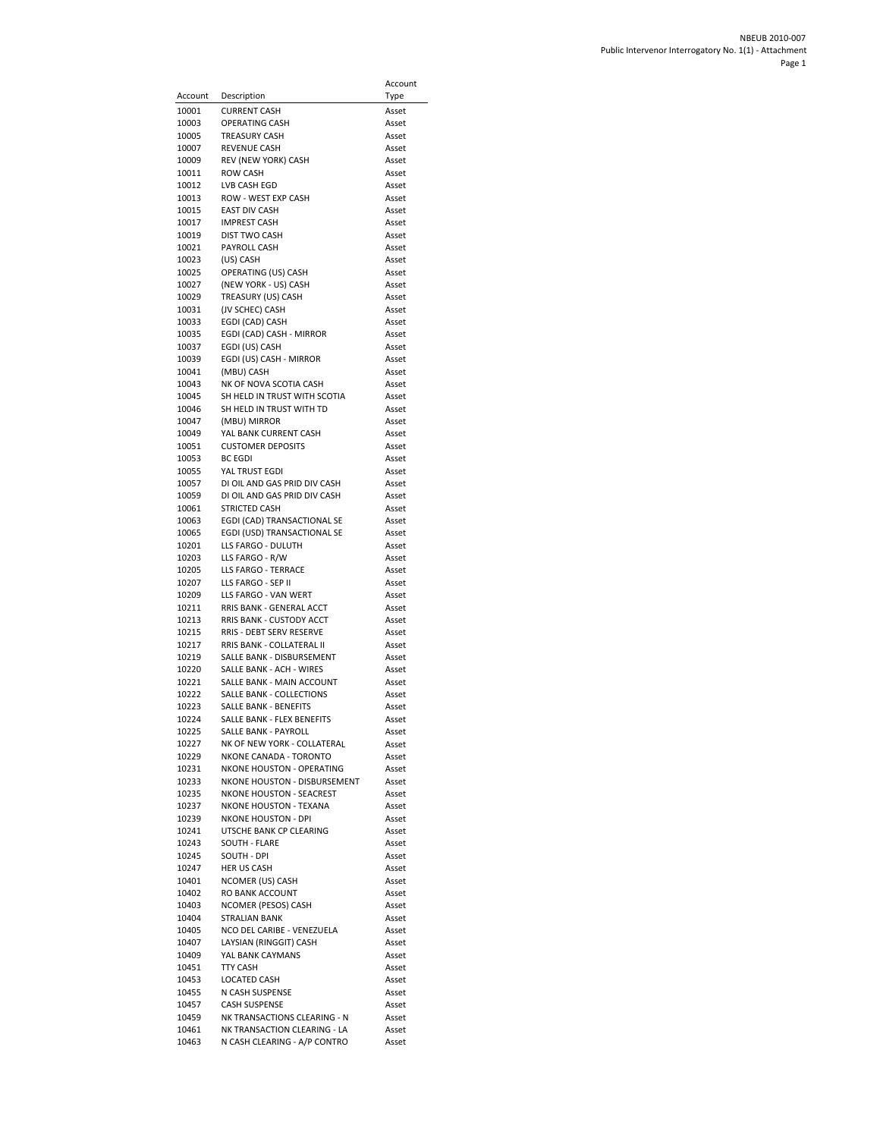|                |                                                           | Account        |
|----------------|-----------------------------------------------------------|----------------|
| Account        | Description                                               | Type           |
| 10001          | <b>CURRENT CASH</b>                                       | Asset          |
| 10003<br>10005 | <b>OPERATING CASH</b><br><b>TREASURY CASH</b>             | Asset<br>Asset |
| 10007          | <b>REVENUE CASH</b>                                       | Asset          |
| 10009          | REV (NEW YORK) CASH                                       | Asset          |
| 10011          | <b>ROW CASH</b>                                           | Asset          |
| 10012          | LVB CASH EGD                                              | Asset          |
| 10013<br>10015 | ROW - WEST EXP CASH<br><b>EAST DIV CASH</b>               | Asset<br>Asset |
| 10017          | <b>IMPREST CASH</b>                                       | Asset          |
| 10019          | <b>DIST TWO CASH</b>                                      | Asset          |
| 10021          | PAYROLL CASH                                              | Asset          |
| 10023          | (US) CASH                                                 | Asset          |
| 10025<br>10027 | OPERATING (US) CASH<br>(NEW YORK - US) CASH               | Asset<br>Asset |
| 10029          | TREASURY (US) CASH                                        | Asset          |
| 10031          | (JV SCHEC) CASH                                           | Asset          |
| 10033          | EGDI (CAD) CASH                                           | Asset          |
| 10035          | EGDI (CAD) CASH - MIRROR                                  | Asset          |
| 10037<br>10039 | EGDI (US) CASH<br>EGDI (US) CASH - MIRROR                 | Asset<br>Asset |
| 10041          | (MBU) CASH                                                | Asset          |
| 10043          | NK OF NOVA SCOTIA CASH                                    | Asset          |
| 10045          | SH HELD IN TRUST WITH SCOTIA                              | Asset          |
| 10046          | SH HELD IN TRUST WITH TD                                  | Asset          |
| 10047<br>10049 | (MBU) MIRROR<br>YAL BANK CURRENT CASH                     | Asset<br>Asset |
| 10051          | <b>CUSTOMER DEPOSITS</b>                                  | Asset          |
| 10053          | <b>BC EGDI</b>                                            | Asset          |
| 10055          | YAL TRUST EGDI                                            | Asset          |
| 10057          | DI OIL AND GAS PRID DIV CASH                              | Asset          |
| 10059<br>10061 | DI OIL AND GAS PRID DIV CASH<br><b>STRICTED CASH</b>      | Asset<br>Asset |
| 10063          | EGDI (CAD) TRANSACTIONAL SE                               | Asset          |
| 10065          | EGDI (USD) TRANSACTIONAL SE                               | Asset          |
| 10201          | LLS FARGO - DULUTH                                        | Asset          |
| 10203<br>10205 | LLS FARGO - R/W<br>LLS FARGO - TERRACE                    | Asset<br>Asset |
| 10207          | LLS FARGO - SEP II                                        | Asset          |
| 10209          | LLS FARGO - VAN WERT                                      | Asset          |
| 10211          | RRIS BANK - GENERAL ACCT                                  | Asset          |
| 10213          | RRIS BANK - CUSTODY ACCT                                  | Asset          |
| 10215<br>10217 | RRIS - DEBT SERV RESERVE<br>RRIS BANK - COLLATERAL II     | Asset<br>Asset |
| 10219          | SALLE BANK - DISBURSEMENT                                 | Asset          |
| 10220          | SALLE BANK - ACH - WIRES                                  | Asset          |
| 10221          | SALLE BANK - MAIN ACCOUNT                                 | Asset          |
| 10222          | <b>SALLE BANK - COLLECTIONS</b>                           | Asset          |
| 10223<br>10224 | SALLE BANK - BENEFITS<br>SALLE BANK - FLEX BENEFITS       | Asset<br>Asset |
| 10225          | SALLE BANK - PAYROLL                                      | Asset          |
| 10227          | NK OF NEW YORK - COLLATERAL                               | Asset          |
| 10229          | NKONE CANADA - TORONTO                                    | Asset          |
| 10231<br>10233 | NKONE HOUSTON - OPERATING<br>NKONE HOUSTON - DISBURSEMENT | Asset          |
| 10235          | NKONE HOUSTON - SEACREST                                  | Asset<br>Asset |
| 10237          | <b>NKONE HOUSTON - TEXANA</b>                             | Asset          |
| 10239          | <b>NKONE HOUSTON - DPI</b>                                | Asset          |
| 10241          | UTSCHE BANK CP CLEARING                                   | Asset          |
| 10243<br>10245 | SOUTH - FLARE<br>SOUTH - DPI                              | Asset<br>Asset |
| 10247          | <b>HER US CASH</b>                                        | Asset          |
| 10401          | NCOMER (US) CASH                                          | Asset          |
| 10402          | RO BANK ACCOUNT                                           | Asset          |
| 10403          | NCOMER (PESOS) CASH<br><b>STRALIAN BANK</b>               | Asset          |
| 10404<br>10405 | NCO DEL CARIBE - VENEZUELA                                | Asset<br>Asset |
| 10407          | LAYSIAN (RINGGIT) CASH                                    | Asset          |
| 10409          | YAL BANK CAYMANS                                          | Asset          |
| 10451          | <b>TTY CASH</b>                                           | Asset          |
| 10453          | LOCATED CASH                                              | Asset          |
| 10455<br>10457 | N CASH SUSPENSE<br><b>CASH SUSPENSE</b>                   | Asset<br>Asset |
| 10459          | NK TRANSACTIONS CLEARING - N                              | Asset          |
| 10461          | NK TRANSACTION CLEARING - LA                              | Asset          |
| 10463          | N CASH CLEARING - A/P CONTRO                              | Asset          |

 $\overline{a}$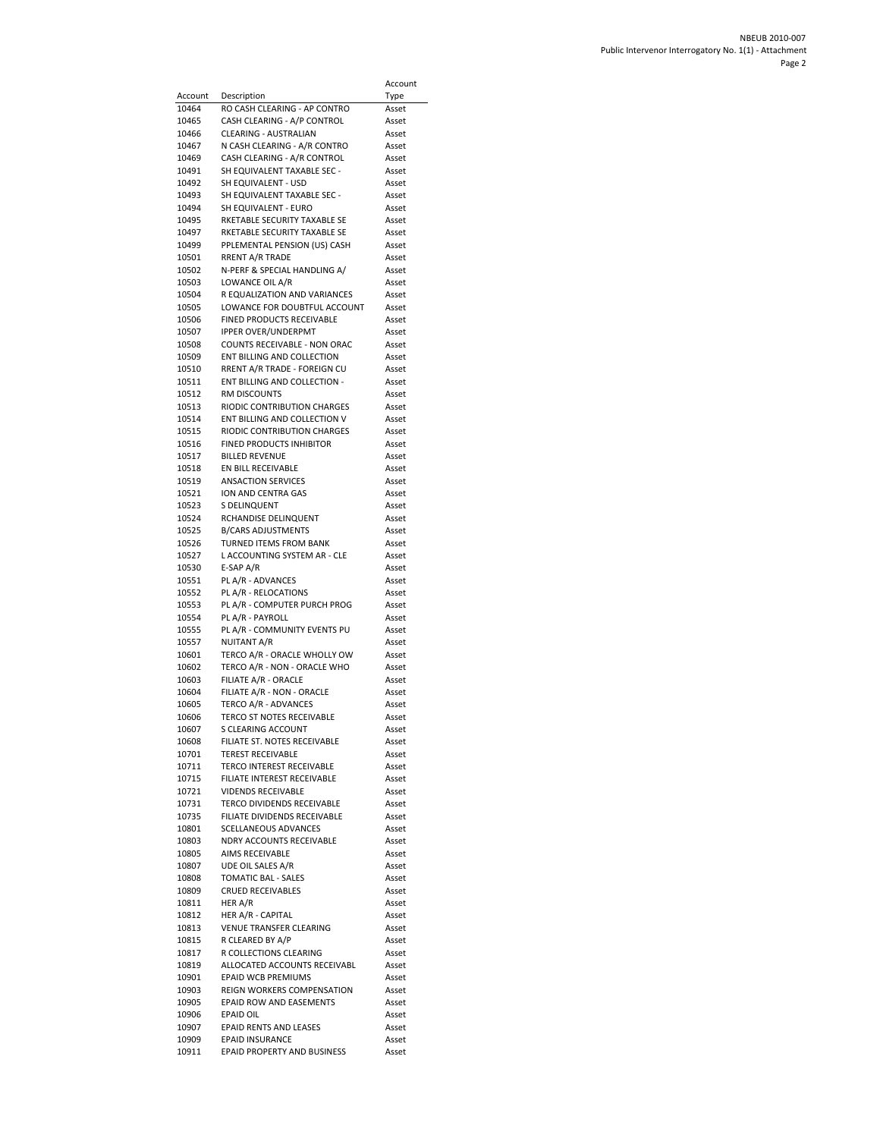|                |                                                             | Account        |
|----------------|-------------------------------------------------------------|----------------|
| Account        | Description                                                 | Type           |
| 10464<br>10465 | RO CASH CLEARING - AP CONTRO<br>CASH CLEARING - A/P CONTROL | Asset<br>Asset |
| 10466          | CLEARING - AUSTRALIAN                                       | Asset          |
| 10467          | N CASH CLEARING - A/R CONTRO                                | Asset          |
| 10469          | CASH CLEARING - A/R CONTROL                                 | Asset          |
| 10491          | SH EQUIVALENT TAXABLE SEC -                                 | Asset          |
| 10492          | SH EQUIVALENT - USD                                         | Asset          |
| 10493<br>10494 | SH EQUIVALENT TAXABLE SEC -<br>SH EQUIVALENT - EURO         | Asset<br>Asset |
| 10495          | RKETABLE SECURITY TAXABLE SE                                | Asset          |
| 10497          | RKETABLE SECURITY TAXABLE SE                                | Asset          |
| 10499          | PPLEMENTAL PENSION (US) CASH                                | Asset          |
| 10501          | <b>RRENT A/R TRADE</b>                                      | Asset          |
| 10502<br>10503 | N-PERF & SPECIAL HANDLING A/<br>LOWANCE OIL A/R             | Asset<br>Asset |
| 10504          | R EQUALIZATION AND VARIANCES                                | Asset          |
| 10505          | LOWANCE FOR DOUBTFUL ACCOUNT                                | Asset          |
| 10506          | FINED PRODUCTS RECEIVABLE                                   | Asset          |
| 10507          | <b>IPPER OVER/UNDERPMT</b>                                  | Asset          |
| 10508          | COUNTS RECEIVABLE - NON ORAC                                | Asset          |
| 10509<br>10510 | ENT BILLING AND COLLECTION<br>RRENT A/R TRADE - FOREIGN CU  | Asset<br>Asset |
| 10511          | ENT BILLING AND COLLECTION -                                | Asset          |
| 10512          | RM DISCOUNTS                                                | Asset          |
| 10513          | RIODIC CONTRIBUTION CHARGES                                 | Asset          |
| 10514          | ENT BILLING AND COLLECTION V                                | Asset          |
| 10515          | RIODIC CONTRIBUTION CHARGES                                 | Asset          |
| 10516<br>10517 | <b>FINED PRODUCTS INHIBITOR</b><br><b>BILLED REVENUE</b>    | Asset<br>Asset |
| 10518          | EN BILL RECEIVABLE                                          | Asset          |
| 10519          | <b>ANSACTION SERVICES</b>                                   | Asset          |
| 10521          | ION AND CENTRA GAS                                          | Asset          |
| 10523          | S DELINQUENT                                                | Asset          |
| 10524          | RCHANDISE DELINQUENT                                        | Asset          |
| 10525<br>10526 | <b>B/CARS ADJUSTMENTS</b><br>TURNED ITEMS FROM BANK         | Asset<br>Asset |
| 10527          | L ACCOUNTING SYSTEM AR - CLE                                | Asset          |
| 10530          | $E-SAP A/R$                                                 | Asset          |
| 10551          | PL A/R - ADVANCES                                           | Asset          |
| 10552          | PL A/R - RELOCATIONS                                        | Asset          |
| 10553          | PL A/R - COMPUTER PURCH PROG                                | Asset          |
| 10554<br>10555 | PL A/R - PAYROLL<br>PL A/R - COMMUNITY EVENTS PU            | Asset<br>Asset |
| 10557          | NUITANT A/R                                                 | Asset          |
| 10601          | TERCO A/R - ORACLE WHOLLY OW                                | Asset          |
| 10602          | TERCO A/R - NON - ORACLE WHO                                | Asset          |
| 10603          | FILIATE A/R - ORACLE                                        | Asset          |
| 10604<br>10605 | FILIATE A/R - NON - ORACLE<br>TERCO A/R - ADVANCES          | Asset<br>Asset |
| 10606          | TERCO ST NOTES RECEIVABLE                                   | Asset          |
| 10607          | <b>S CLEARING ACCOUNT</b>                                   | Asset          |
| 10608          | FILIATE ST. NOTES RECEIVABLE                                | Asset          |
| 10701          | <b>TEREST RECEIVABLE</b>                                    | Asset          |
| 10711          | TERCO INTEREST RECEIVABLE                                   | Asset          |
| 10715<br>10721 | FILIATE INTEREST RECEIVABLE<br><b>VIDENDS RECEIVABLE</b>    | Asset<br>Asset |
| 10731          | TERCO DIVIDENDS RECEIVABLE                                  | Asset          |
| 10735          | FILIATE DIVIDENDS RECEIVABLE                                | Asset          |
| 10801          | SCELLANEOUS ADVANCES                                        | Asset          |
| 10803          | NDRY ACCOUNTS RECEIVABLE                                    | Asset          |
| 10805<br>10807 | AIMS RECEIVABLE<br>UDE OIL SALES A/R                        | Asset<br>Asset |
| 10808          | TOMATIC BAL - SALES                                         | Asset          |
| 10809          | <b>CRUED RECEIVABLES</b>                                    | Asset          |
| 10811          | HER A/R                                                     | Asset          |
| 10812          | HER A/R - CAPITAL                                           | Asset          |
| 10813          | VENUE TRANSFER CLEARING                                     | Asset          |
| 10815<br>10817 | R CLEARED BY A/P<br>R COLLECTIONS CLEARING                  | Asset<br>Asset |
| 10819          | ALLOCATED ACCOUNTS RECEIVABL                                | Asset          |
| 10901          | <b>EPAID WCB PREMIUMS</b>                                   | Asset          |
| 10903          | REIGN WORKERS COMPENSATION                                  | Asset          |
| 10905          | EPAID ROW AND EASEMENTS                                     | Asset          |
| 10906          | <b>EPAID OIL</b><br>EPAID RENTS AND LEASES                  | Asset          |
| 10907<br>10909 | <b>EPAID INSURANCE</b>                                      | Asset<br>Asset |
| 10911          | EPAID PROPERTY AND BUSINESS                                 | Asset          |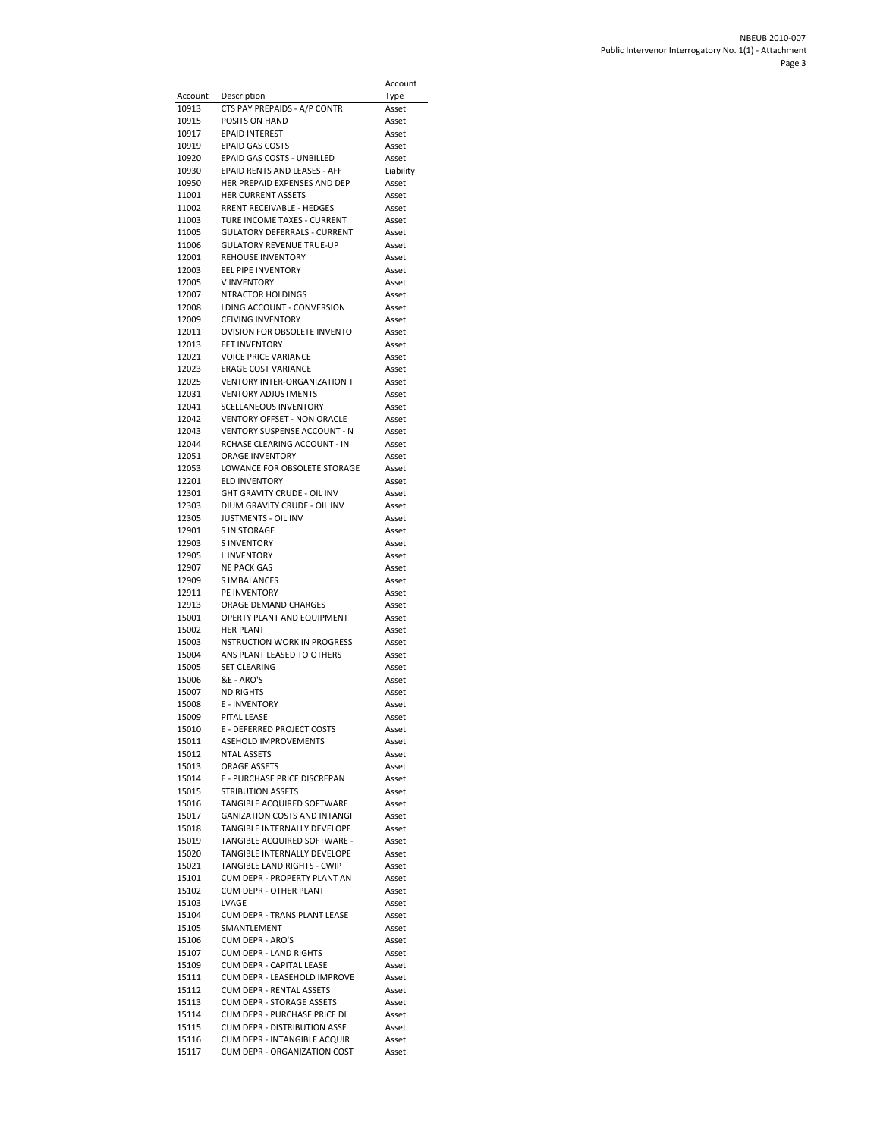|                  |                                                                     | Account            |
|------------------|---------------------------------------------------------------------|--------------------|
| Account<br>10913 | Description<br>CTS PAY PREPAIDS - A/P CONTR                         | Type<br>Asset      |
| 10915            | POSITS ON HAND                                                      | Asset              |
| 10917            | EPAID INTEREST                                                      | Asset              |
| 10919            | <b>EPAID GAS COSTS</b>                                              | Asset              |
| 10920<br>10930   | EPAID GAS COSTS - UNBILLED<br>EPAID RENTS AND LEASES - AFF          | Asset<br>Liability |
| 10950            | HER PREPAID EXPENSES AND DEP                                        | Asset              |
| 11001            | <b>HER CURRENT ASSETS</b>                                           | Asset              |
| 11002            | RRENT RECEIVABLE - HEDGES                                           | Asset              |
| 11003<br>11005   | TURE INCOME TAXES - CURRENT<br><b>GULATORY DEFERRALS - CURRENT</b>  | Asset<br>Asset     |
| 11006            | <b>GULATORY REVENUE TRUE-UP</b>                                     | Asset              |
| 12001            | <b>REHOUSE INVENTORY</b>                                            | Asset              |
| 12003            | <b>EEL PIPE INVENTORY</b>                                           | Asset              |
| 12005<br>12007   | <b>VINVENTORY</b><br>NTRACTOR HOLDINGS                              | Asset<br>Asset     |
| 12008            | LDING ACCOUNT - CONVERSION                                          | Asset              |
| 12009            | <b>CEIVING INVENTORY</b>                                            | Asset              |
| 12011            | <b>OVISION FOR OBSOLETE INVENTO</b>                                 | Asset              |
| 12013<br>12021   | EET INVENTORY<br><b>VOICE PRICE VARIANCE</b>                        | Asset<br>Asset     |
| 12023            | <b>ERAGE COST VARIANCE</b>                                          | Asset              |
| 12025            | <b>VENTORY INTER-ORGANIZATION T</b>                                 | Asset              |
| 12031            | <b>VENTORY ADJUSTMENTS</b>                                          | Asset              |
| 12041<br>12042   | <b>SCELLANEOUS INVENTORY</b><br><b>VENTORY OFFSET - NON ORACLE</b>  | Asset              |
| 12043            | VENTORY SUSPENSE ACCOUNT - N                                        | Asset<br>Asset     |
| 12044            | RCHASE CLEARING ACCOUNT - IN                                        | Asset              |
| 12051            | ORAGE INVENTORY                                                     | Asset              |
| 12053            | LOWANCE FOR OBSOLETE STORAGE                                        | Asset              |
| 12201<br>12301   | <b>ELD INVENTORY</b><br>GHT GRAVITY CRUDE - OIL INV                 | Asset<br>Asset     |
| 12303            | DIUM GRAVITY CRUDE - OIL INV                                        | Asset              |
| 12305            | JUSTMENTS - OIL INV                                                 | Asset              |
| 12901            | <b>S IN STORAGE</b>                                                 | Asset              |
| 12903<br>12905   | <b>SINVENTORY</b><br>L INVENTORY                                    | Asset<br>Asset     |
| 12907            | <b>NE PACK GAS</b>                                                  | Asset              |
| 12909            | <b>SIMBALANCES</b>                                                  | Asset              |
| 12911            | PE INVENTORY                                                        | Asset              |
| 12913<br>15001   | ORAGE DEMAND CHARGES<br>OPERTY PLANT AND EQUIPMENT                  | Asset<br>Asset     |
| 15002            | <b>HER PLANT</b>                                                    | Asset              |
| 15003            | <b>NSTRUCTION WORK IN PROGRESS</b>                                  | Asset              |
| 15004            | ANS PLANT LEASED TO OTHERS                                          | Asset              |
| 15005<br>15006   | <b>SET CLEARING</b><br>&E - ARO'S                                   | Asset<br>Asset     |
| 15007            | <b>ND RIGHTS</b>                                                    | Asset              |
| 15008            | E - INVENTORY                                                       | Asset              |
| 15009            | PITAL LEASE                                                         | Asset              |
| 15010<br>15011   | E - DEFERRED PROJECT COSTS<br>ASEHOLD IMPROVEMENTS                  | Asset<br>Asset     |
| 15012            | <b>NTAL ASSETS</b>                                                  | Asset              |
| 15013            | ORAGE ASSETS                                                        | Asset              |
| 15014            | E - PURCHASE PRICE DISCREPAN                                        | Asset              |
| 15015<br>15016   | <b>STRIBUTION ASSETS</b><br>TANGIBLE ACQUIRED SOFTWARE              | Asset<br>Asset     |
| 15017            | <b>GANIZATION COSTS AND INTANGI</b>                                 | Asset              |
| 15018            | TANGIBLE INTERNALLY DEVELOPE                                        | Asset              |
| 15019            | TANGIBLE ACQUIRED SOFTWARE -                                        | Asset              |
| 15020            | TANGIBLE INTERNALLY DEVELOPE                                        | Asset<br>Asset     |
| 15021<br>15101   | TANGIBLE LAND RIGHTS - CWIP<br>CUM DEPR - PROPERTY PLANT AN         | Asset              |
| 15102            | CUM DEPR - OTHER PLANT                                              | Asset              |
| 15103            | LVAGE                                                               | Asset              |
| 15104            | CUM DEPR - TRANS PLANT LEASE                                        | Asset              |
| 15105<br>15106   | SMANTLEMENT<br><b>CUM DEPR - ARO'S</b>                              | Asset<br>Asset     |
| 15107            | <b>CUM DEPR - LAND RIGHTS</b>                                       | Asset              |
| 15109            | CUM DEPR - CAPITAL LEASE                                            | Asset              |
| 15111            | CUM DEPR - LEASEHOLD IMPROVE                                        | Asset              |
| 15112<br>15113   | <b>CUM DEPR - RENTAL ASSETS</b><br><b>CUM DEPR - STORAGE ASSETS</b> | Asset<br>Asset     |
| 15114            | CUM DEPR - PURCHASE PRICE DI                                        | Asset              |
| 15115            | CUM DEPR - DISTRIBUTION ASSE                                        | Asset              |
| 15116            | CUM DEPR - INTANGIBLE ACQUIR                                        | Asset              |
| 15117            | CUM DEPR - ORGANIZATION COST                                        | Asset              |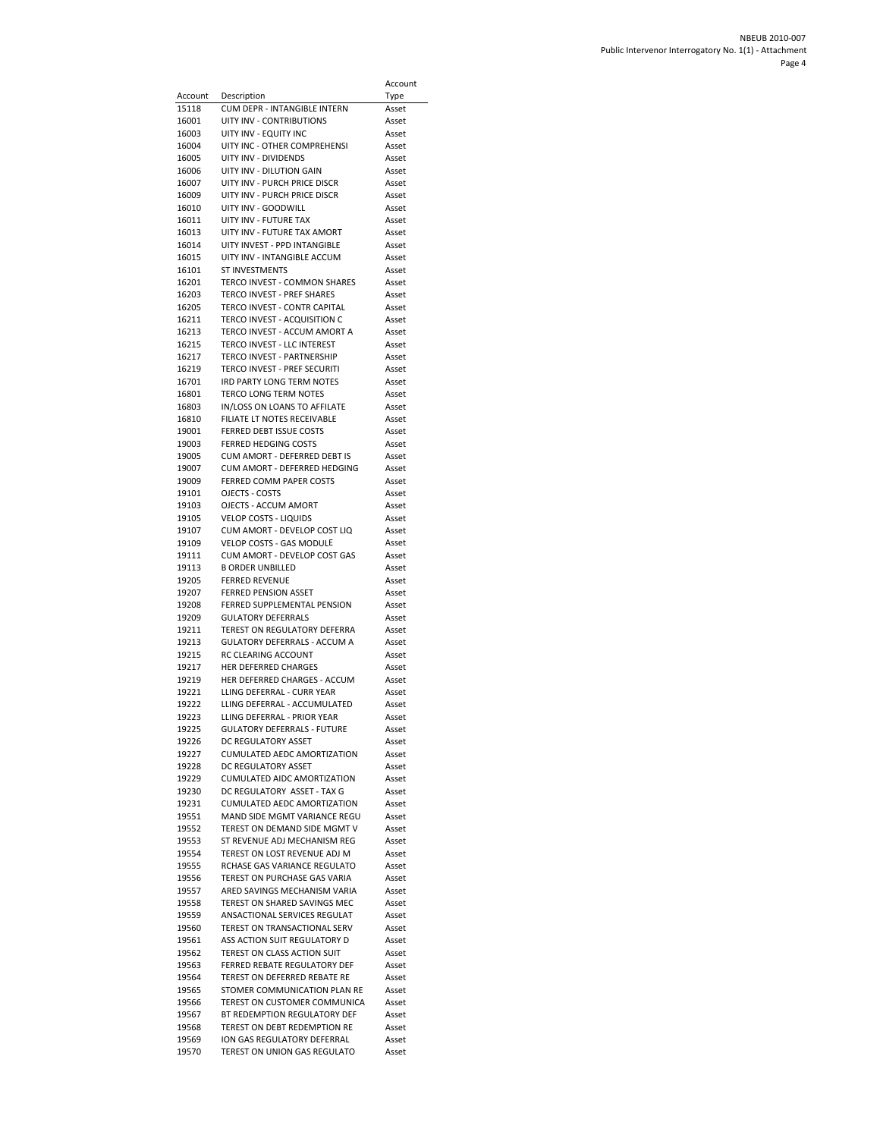|                |                                                              | Account        |
|----------------|--------------------------------------------------------------|----------------|
| Account        | Description                                                  | Type           |
| 15118          | CUM DEPR - INTANGIBLE INTERN                                 | Asset          |
| 16001<br>16003 | UITY INV - CONTRIBUTIONS<br>UITY INV - EQUITY INC            | Asset<br>Asset |
| 16004          | UITY INC - OTHER COMPREHENSI                                 | Asset          |
| 16005          | UITY INV - DIVIDENDS                                         | Asset          |
| 16006          | UITY INV - DILUTION GAIN                                     | Asset          |
| 16007          | UITY INV - PURCH PRICE DISCR                                 | Asset          |
| 16009          | UITY INV - PURCH PRICE DISCR                                 | Asset          |
| 16010<br>16011 | UITY INV - GOODWILL<br>UITY INV - FUTURE TAX                 | Asset          |
| 16013          | UITY INV - FUTURE TAX AMORT                                  | Asset<br>Asset |
| 16014          | UITY INVEST - PPD INTANGIBLE                                 | Asset          |
| 16015          | UITY INV - INTANGIBLE ACCUM                                  | Asset          |
| 16101          | ST INVESTMENTS                                               | Asset          |
| 16201          | TERCO INVEST - COMMON SHARES                                 | Asset          |
| 16203          | TERCO INVEST - PREF SHARES<br>TERCO INVEST - CONTR CAPITAL   | Asset          |
| 16205<br>16211 | TERCO INVEST - ACQUISITION C                                 | Asset<br>Asset |
| 16213          | TERCO INVEST - ACCUM AMORT A                                 | Asset          |
| 16215          | TERCO INVEST - LLC INTEREST                                  | Asset          |
| 16217          | TERCO INVEST - PARTNERSHIP                                   | Asset          |
| 16219          | TERCO INVEST - PREF SECURITI                                 | Asset          |
| 16701          | IRD PARTY LONG TERM NOTES                                    | Asset          |
| 16801<br>16803 | <b>TERCO LONG TERM NOTES</b><br>IN/LOSS ON LOANS TO AFFILATE | Asset<br>Asset |
| 16810          | FILIATE LT NOTES RECEIVABLE                                  | Asset          |
| 19001          | FERRED DEBT ISSUE COSTS                                      | Asset          |
| 19003          | FERRED HEDGING COSTS                                         | Asset          |
| 19005          | CUM AMORT - DEFERRED DEBT IS                                 | Asset          |
| 19007          | CUM AMORT - DEFERRED HEDGING                                 | Asset          |
| 19009          | <b>FERRED COMM PAPER COSTS</b>                               | Asset          |
| 19101          | OJECTS - COSTS                                               | Asset          |
| 19103<br>19105 | OJECTS - ACCUM AMORT<br><b>VELOP COSTS - LIQUIDS</b>         | Asset<br>Asset |
| 19107          | CUM AMORT - DEVELOP COST LIQ                                 | Asset          |
| 19109          | <b>VELOP COSTS - GAS MODULE</b>                              | Asset          |
| 19111          | CUM AMORT - DEVELOP COST GAS                                 | Asset          |
| 19113          | <b>B ORDER UNBILLED</b>                                      | Asset          |
| 19205          | <b>FERRED REVENUE</b>                                        | Asset          |
| 19207          | <b>FERRED PENSION ASSET</b>                                  | Asset          |
| 19208<br>19209 | FERRED SUPPLEMENTAL PENSION<br><b>GULATORY DEFERRALS</b>     | Asset<br>Asset |
| 19211          | TEREST ON REGULATORY DEFERRA                                 | Asset          |
| 19213          | <b>GULATORY DEFERRALS - ACCUM A</b>                          | Asset          |
| 19215          | RC CLEARING ACCOUNT                                          | Asset          |
| 19217          | <b>HER DEFERRED CHARGES</b>                                  | Asset          |
| 19219<br>19221 | HER DEFERRED CHARGES - ACCUM                                 | Asset          |
| 19222          | LLING DEFERRAL - CURR YEAR<br>LLING DEFERRAL - ACCUMULATED   | Asset<br>Asset |
| 19223          | LLING DEFERRAL - PRIOR YEAR                                  | Asset          |
| 19225          | <b>GULATORY DEFERRALS - FUTURE</b>                           | Asset          |
| 19226          | DC REGULATORY ASSET                                          | Asset          |
| 19227          | CUMULATED AEDC AMORTIZATION                                  | Asset          |
| 19228          | DC REGULATORY ASSET                                          | Asset          |
| 19229          | <b>CUMULATED AIDC AMORTIZATION</b>                           | Asset          |
| 19230<br>19231 | DC REGULATORY ASSET - TAX G<br>CUMULATED AEDC AMORTIZATION   | Asset<br>Asset |
| 19551          | MAND SIDE MGMT VARIANCE REGU                                 | Asset          |
| 19552          | TEREST ON DEMAND SIDE MGMT V                                 | Asset          |
| 19553          | ST REVENUE ADJ MECHANISM REG                                 | Asset          |
| 19554          | TEREST ON LOST REVENUE ADJ M                                 | Asset          |
| 19555          | RCHASE GAS VARIANCE REGULATO                                 | Asset          |
| 19556          | TEREST ON PURCHASE GAS VARIA<br>ARED SAVINGS MECHANISM VARIA | Asset          |
| 19557<br>19558 | TEREST ON SHARED SAVINGS MEC                                 | Asset<br>Asset |
| 19559          | ANSACTIONAL SERVICES REGULAT                                 | Asset          |
| 19560          | TEREST ON TRANSACTIONAL SERV                                 | Asset          |
| 19561          | ASS ACTION SUIT REGULATORY D                                 | Asset          |
| 19562          | TEREST ON CLASS ACTION SUIT                                  | Asset          |
| 19563          | FERRED REBATE REGULATORY DEF                                 | Asset          |
| 19564          | TEREST ON DEFERRED REBATE RE                                 | Asset          |
| 19565<br>19566 | STOMER COMMUNICATION PLAN RE<br>TEREST ON CUSTOMER COMMUNICA | Asset<br>Asset |
| 19567          | BT REDEMPTION REGULATORY DEF                                 | Asset          |
| 19568          | TEREST ON DEBT REDEMPTION RE                                 | Asset          |
| 19569          | ION GAS REGULATORY DEFERRAL                                  | Asset          |
| 19570          | TEREST ON UNION GAS REGULATO                                 | Asset          |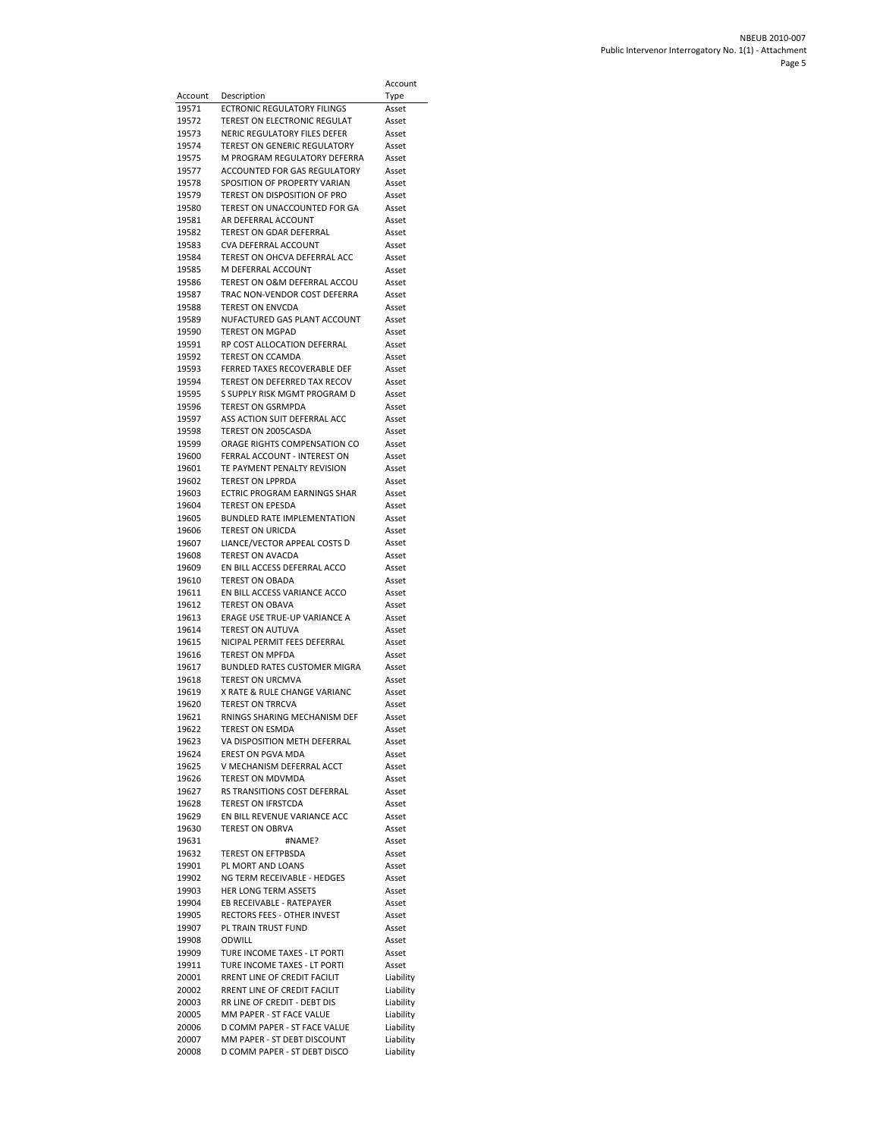|                |                                                              | Account            |
|----------------|--------------------------------------------------------------|--------------------|
| Account        | Description                                                  | Type               |
| 19571          | <b>ECTRONIC REGULATORY FILINGS</b>                           | Asset              |
| 19572          | TEREST ON ELECTRONIC REGULAT                                 | Asset              |
| 19573          | NERIC REGULATORY FILES DEFER                                 | Asset              |
| 19574          | TEREST ON GENERIC REGULATORY                                 | Asset              |
| 19575          | M PROGRAM REGULATORY DEFERRA                                 | Asset              |
| 19577<br>19578 | ACCOUNTED FOR GAS REGULATORY<br>SPOSITION OF PROPERTY VARIAN | Asset<br>Asset     |
| 19579          | TEREST ON DISPOSITION OF PRO                                 | Asset              |
| 19580          | TEREST ON UNACCOUNTED FOR GA                                 | Asset              |
| 19581          | AR DEFERRAL ACCOUNT                                          | Asset              |
| 19582          | TEREST ON GDAR DEFERRAL                                      | Asset              |
| 19583          | CVA DEFERRAL ACCOUNT                                         | Asset              |
| 19584          | TEREST ON OHCVA DEFERRAL ACC                                 | Asset              |
| 19585<br>19586 | M DEFERRAL ACCOUNT<br>TEREST ON O&M DEFERRAL ACCOU           | Asset<br>Asset     |
| 19587          | TRAC NON-VENDOR COST DEFERRA                                 | Asset              |
| 19588          | <b>TEREST ON ENVCDA</b>                                      | Asset              |
| 19589          | NUFACTURED GAS PLANT ACCOUNT                                 | Asset              |
| 19590          | <b>TEREST ON MGPAD</b>                                       | Asset              |
| 19591          | RP COST ALLOCATION DEFERRAL                                  | Asset              |
| 19592          | TEREST ON CCAMDA                                             | Asset              |
| 19593<br>19594 | FERRED TAXES RECOVERABLE DEF<br>TEREST ON DEFERRED TAX RECOV | Asset<br>Asset     |
| 19595          | S SUPPLY RISK MGMT PROGRAM D                                 | Asset              |
| 19596          | <b>TEREST ON GSRMPDA</b>                                     | Asset              |
| 19597          | ASS ACTION SUIT DEFERRAL ACC                                 | Asset              |
| 19598          | TEREST ON 2005CASDA                                          | Asset              |
| 19599          | ORAGE RIGHTS COMPENSATION CO                                 | Asset              |
| 19600          | FERRAL ACCOUNT - INTEREST ON                                 | Asset              |
| 19601          | TE PAYMENT PENALTY REVISION                                  | Asset              |
| 19602<br>19603 | <b>TEREST ON LPPRDA</b><br>ECTRIC PROGRAM EARNINGS SHAR      | Asset<br>Asset     |
| 19604          | <b>TEREST ON EPESDA</b>                                      | Asset              |
| 19605          | <b>BUNDLED RATE IMPLEMENTATION</b>                           | Asset              |
| 19606          | <b>TEREST ON URICDA</b>                                      | Asset              |
| 19607          | LIANCE/VECTOR APPEAL COSTS D                                 | Asset              |
| 19608          | TEREST ON AVACDA                                             | Asset              |
| 19609          | EN BILL ACCESS DEFERRAL ACCO                                 | Asset              |
| 19610<br>19611 | <b>TEREST ON OBADA</b><br>EN BILL ACCESS VARIANCE ACCO       | Asset<br>Asset     |
| 19612          | <b>TEREST ON OBAVA</b>                                       | Asset              |
| 19613          | ERAGE USE TRUE-UP VARIANCE A                                 | Asset              |
| 19614          | <b>TEREST ON AUTUVA</b>                                      | Asset              |
| 19615          | NICIPAL PERMIT FEES DEFERRAL                                 | Asset              |
| 19616          | <b>TEREST ON MPFDA</b>                                       | Asset              |
| 19617<br>19618 | BUNDLED RATES CUSTOMER MIGRA<br>TEREST ON URCMVA             | Asset<br>Asset     |
| 19619          | X RATE & RULE CHANGE VARIANC                                 | Asset              |
| 19620          | <b>TEREST ON TRRCVA</b>                                      | Asset              |
| 19621          | RNINGS SHARING MECHANISM DEF                                 | Asset              |
| 19622          | <b>TEREST ON ESMDA</b>                                       | Asset              |
| 19623          | VA DISPOSITION METH DEFERRAL                                 | Asset              |
| 19624          | <b>EREST ON PGVA MDA</b>                                     | Asset              |
| 19625<br>19626 | V MECHANISM DEFERRAL ACCT<br>TEREST ON MDVMDA                | Asset<br>Asset     |
| 19627          | RS TRANSITIONS COST DEFERRAL                                 | Asset              |
| 19628          | <b>TEREST ON IFRSTCDA</b>                                    | Asset              |
| 19629          | EN BILL REVENUE VARIANCE ACC                                 | Asset              |
| 19630          | <b>TEREST ON OBRVA</b>                                       | Asset              |
| 19631          | #NAME?                                                       | Asset              |
| 19632          | TEREST ON EFTPBSDA<br>PL MORT AND LOANS                      | Asset              |
| 19901<br>19902 | NG TERM RECEIVABLE - HEDGES                                  | Asset<br>Asset     |
| 19903          | HER LONG TERM ASSETS                                         | Asset              |
| 19904          | EB RECEIVABLE - RATEPAYER                                    | Asset              |
| 19905          | RECTORS FEES - OTHER INVEST                                  | Asset              |
| 19907          | PL TRAIN TRUST FUND                                          | Asset              |
| 19908          | ODWILL                                                       | Asset              |
| 19909          | TURE INCOME TAXES - LT PORTI                                 | Asset              |
| 19911<br>20001 | TURE INCOME TAXES - LT PORTI<br>RRENT LINE OF CREDIT FACILIT | Asset<br>Liability |
| 20002          | RRENT LINE OF CREDIT FACILIT                                 | Liability          |
| 20003          | RR LINE OF CREDIT - DEBT DIS                                 | Liability          |
| 20005          | MM PAPER - ST FACE VALUE                                     | Liability          |
| 20006          | D COMM PAPER - ST FACE VALUE                                 | Liability          |
| 20007          | MM PAPER - ST DEBT DISCOUNT                                  | Liability          |
| 20008          | D COMM PAPER - ST DEBT DISCO                                 | Liability          |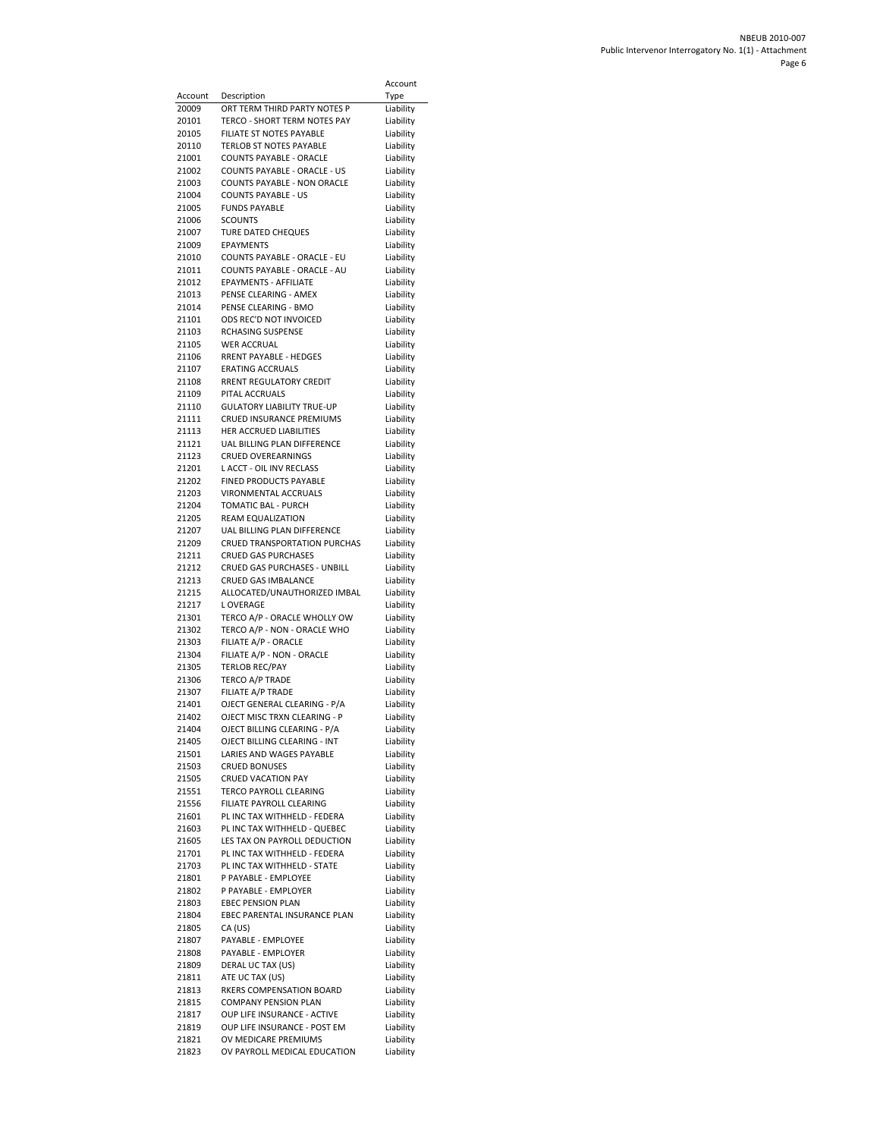|                  |                                                               | Account                |
|------------------|---------------------------------------------------------------|------------------------|
| Account<br>20009 | Description                                                   | Type                   |
| 20101            | ORT TERM THIRD PARTY NOTES P<br>TERCO - SHORT TERM NOTES PAY  | Liability<br>Liability |
| 20105            | FILIATE ST NOTES PAYABLE                                      | Liability              |
| 20110            | TERLOB ST NOTES PAYABLE                                       | Liability              |
| 21001            | <b>COUNTS PAYABLE - ORACLE</b>                                | Liability              |
| 21002            | COUNTS PAYABLE - ORACLE - US                                  | Liability              |
| 21003<br>21004   | COUNTS PAYABLE - NON ORACLE<br><b>COUNTS PAYABLE - US</b>     | Liability<br>Liability |
| 21005            | <b>FUNDS PAYABLE</b>                                          | Liability              |
| 21006            | <b>SCOUNTS</b>                                                | Liability              |
| 21007            | <b>TURE DATED CHEQUES</b>                                     | Liability              |
| 21009            | <b>EPAYMENTS</b>                                              | Liability              |
| 21010<br>21011   | COUNTS PAYABLE - ORACLE - EU<br>COUNTS PAYABLE - ORACLE - AU  | Liability<br>Liability |
| 21012            | EPAYMENTS - AFFILIATE                                         | Liability              |
| 21013            | PENSE CLEARING - AMEX                                         | Liability              |
| 21014            | PENSE CLEARING - BMO                                          | Liability              |
| 21101            | ODS REC'D NOT INVOICED                                        | Liability              |
| 21103<br>21105   | RCHASING SUSPENSE<br><b>WER ACCRUAL</b>                       | Liability<br>Liability |
| 21106            | RRENT PAYABLE - HEDGES                                        | Liability              |
| 21107            | <b>ERATING ACCRUALS</b>                                       | Liability              |
| 21108            | RRENT REGULATORY CREDIT                                       | Liability              |
| 21109            | PITAL ACCRUALS                                                | Liability              |
| 21110<br>21111   | <b>GULATORY LIABILITY TRUE-UP</b><br>CRUED INSURANCE PREMIUMS | Liability<br>Liability |
| 21113            | HER ACCRUED LIABILITIES                                       | Liability              |
| 21121            | UAL BILLING PLAN DIFFERENCE                                   | Liability              |
| 21123            | <b>CRUED OVEREARNINGS</b>                                     | Liability              |
| 21201            | L ACCT - OIL INV RECLASS                                      | Liability              |
| 21202<br>21203   | FINED PRODUCTS PAYABLE<br>VIRONMENTAL ACCRUALS                | Liability<br>Liability |
| 21204            | TOMATIC BAL - PURCH                                           | Liability              |
| 21205            | REAM EQUALIZATION                                             | Liability              |
| 21207            | UAL BILLING PLAN DIFFERENCE                                   | Liability              |
| 21209            | <b>CRUED TRANSPORTATION PURCHAS</b>                           | Liability              |
| 21211<br>21212   | <b>CRUED GAS PURCHASES</b><br>CRUED GAS PURCHASES - UNBILL    | Liability<br>Liability |
| 21213            | CRUED GAS IMBALANCE                                           | Liability              |
| 21215            | ALLOCATED/UNAUTHORIZED IMBAL                                  | Liability              |
| 21217            | L OVERAGE                                                     | Liability              |
| 21301            | TERCO A/P - ORACLE WHOLLY OW                                  | Liability              |
| 21302<br>21303   | TERCO A/P - NON - ORACLE WHO<br>FILIATE A/P - ORACLE          | Liability<br>Liability |
| 21304            | FILIATE A/P - NON - ORACLE                                    | Liability              |
| 21305            | <b>TERLOB REC/PAY</b>                                         | Liability              |
| 21306            | TERCO A/P TRADE                                               | Liability              |
| 21307<br>21401   | FILIATE A/P TRADE<br>OJECT GENERAL CLEARING - P/A             | Liability              |
| 21402            | OJECT MISC TRXN CLEARING - P                                  | Liability<br>Liability |
| 21404            | OJECT BILLING CLEARING - P/A                                  | Liability              |
| 21405            | OJECT BILLING CLEARING - INT                                  | Liability              |
| 21501            | LARIES AND WAGES PAYABLE                                      | Liability              |
| 21503<br>21505   | <b>CRUED BONUSES</b><br><b>CRUED VACATION PAY</b>             | Liability<br>Liability |
| 21551            | TERCO PAYROLL CLEARING                                        | Liability              |
| 21556            | FILIATE PAYROLL CLEARING                                      | Liability              |
| 21601            | PL INC TAX WITHHELD - FEDERA                                  | Liability              |
| 21603            | PL INC TAX WITHHELD - QUEBEC                                  | Liability              |
| 21605<br>21701   | LES TAX ON PAYROLL DEDUCTION<br>PL INC TAX WITHHELD - FEDERA  | Liability<br>Liability |
| 21703            | PL INC TAX WITHHELD - STATE                                   | Liability              |
| 21801            | P PAYABLE - EMPLOYEE                                          | Liability              |
| 21802            | P PAYABLE - EMPLOYER                                          | Liability              |
| 21803            | <b>EBEC PENSION PLAN</b>                                      | Liability              |
| 21804<br>21805   | EBEC PARENTAL INSURANCE PLAN<br>CA (US)                       | Liability<br>Liability |
| 21807            | PAYABLE - EMPLOYEE                                            | Liability              |
| 21808            | PAYABLE - EMPLOYER                                            | Liability              |
| 21809            | DERAL UC TAX (US)                                             | Liability              |
| 21811            | ATE UC TAX (US)                                               | Liability              |
| 21813<br>21815   | RKERS COMPENSATION BOARD<br><b>COMPANY PENSION PLAN</b>       | Liability<br>Liability |
| 21817            | OUP LIFE INSURANCE - ACTIVE                                   | Liability              |
| 21819            | OUP LIFE INSURANCE - POST EM                                  | Liability              |
| 21821            | OV MEDICARE PREMIUMS                                          | Liability              |
| 21823            | OV PAYROLL MEDICAL EDUCATION                                  | Liability              |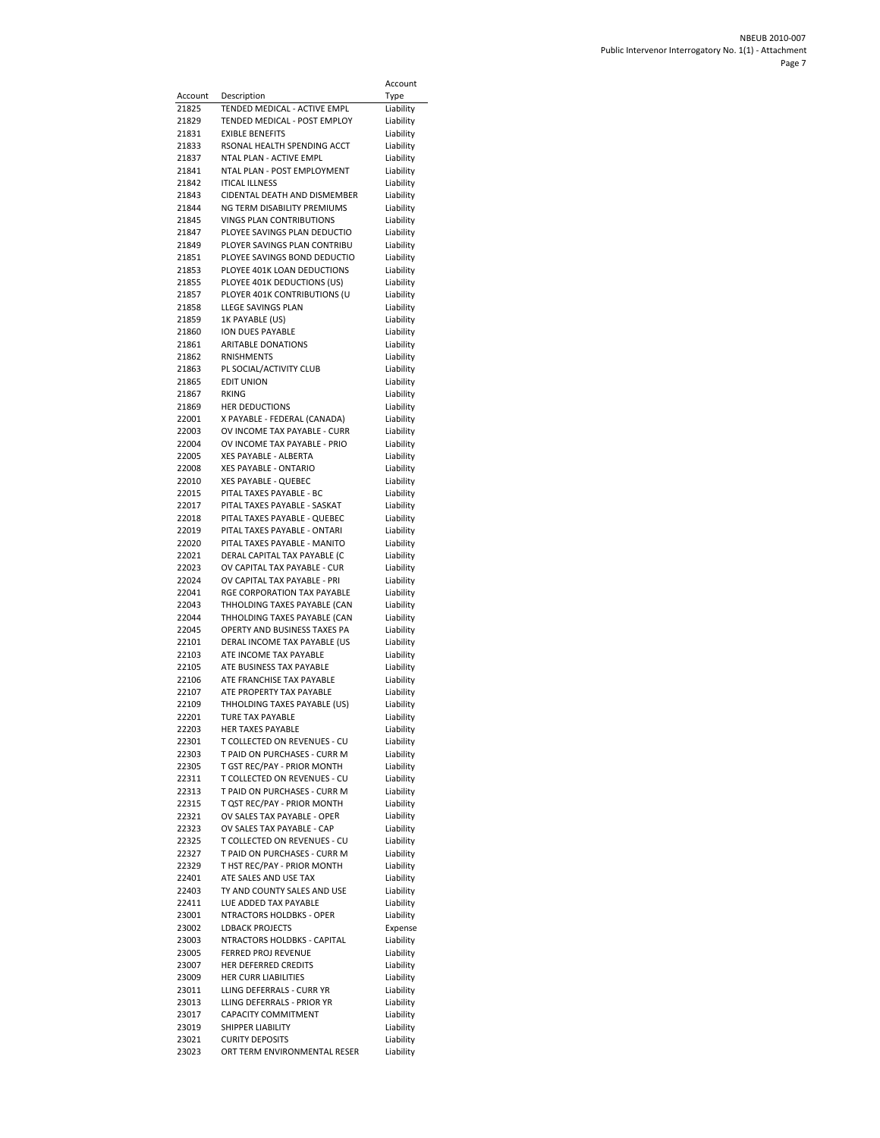|                  |                                                                 | Account                |
|------------------|-----------------------------------------------------------------|------------------------|
| Account<br>21825 | Description<br>TENDED MEDICAL - ACTIVE EMPL                     | Type<br>Liability      |
| 21829            | TENDED MEDICAL - POST EMPLOY                                    | Liability              |
| 21831            | <b>EXIBLE BENEFITS</b>                                          | Liability              |
| 21833            | RSONAL HEALTH SPENDING ACCT                                     | Liability              |
| 21837<br>21841   | NTAL PLAN - ACTIVE EMPL<br>NTAL PLAN - POST EMPLOYMENT          | Liability<br>Liability |
| 21842            | <b>ITICAL ILLNESS</b>                                           | Liability              |
| 21843            | CIDENTAL DEATH AND DISMEMBER                                    | Liability              |
| 21844            | NG TERM DISABILITY PREMIUMS                                     | Liability              |
| 21845<br>21847   | <b>VINGS PLAN CONTRIBUTIONS</b><br>PLOYEE SAVINGS PLAN DEDUCTIO | Liability<br>Liability |
| 21849            | PLOYER SAVINGS PLAN CONTRIBU                                    | Liability              |
| 21851            | PLOYEE SAVINGS BOND DEDUCTIO                                    | Liability              |
| 21853<br>21855   | PLOYEE 401K LOAN DEDUCTIONS<br>PLOYEE 401K DEDUCTIONS (US)      | Liability<br>Liability |
| 21857            | PLOYER 401K CONTRIBUTIONS (U                                    | Liability              |
| 21858            | LLEGE SAVINGS PLAN                                              | Liability              |
| 21859            | 1K PAYABLE (US)                                                 | Liability              |
| 21860<br>21861   | ION DUES PAYABLE<br><b>ARITABLE DONATIONS</b>                   | Liability<br>Liability |
| 21862            | <b>RNISHMENTS</b>                                               | Liability              |
| 21863            | PL SOCIAL/ACTIVITY CLUB                                         | Liability              |
| 21865            | <b>EDIT UNION</b>                                               | Liability              |
| 21867<br>21869   | RKING<br><b>HER DEDUCTIONS</b>                                  | Liability<br>Liability |
| 22001            | X PAYABLE - FEDERAL (CANADA)                                    | Liability              |
| 22003            | OV INCOME TAX PAYABLE - CURR                                    | Liability              |
| 22004            | OV INCOME TAX PAYABLE - PRIO                                    | Liability              |
| 22005<br>22008   | XES PAYABLE - ALBERTA<br>XES PAYABLE - ONTARIO                  | Liability<br>Liability |
| 22010            | XES PAYABLE - QUEBEC                                            | Liability              |
| 22015            | PITAL TAXES PAYABLE - BC                                        | Liability              |
| 22017<br>22018   | PITAL TAXES PAYABLE - SASKAT<br>PITAL TAXES PAYABLE - QUEBEC    | Liability<br>Liability |
| 22019            | PITAL TAXES PAYABLE - ONTARI                                    | Liability              |
| 22020            | PITAL TAXES PAYABLE - MANITO                                    | Liability              |
| 22021            | DERAL CAPITAL TAX PAYABLE (C                                    | Liability              |
| 22023<br>22024   | OV CAPITAL TAX PAYABLE - CUR<br>OV CAPITAL TAX PAYABLE - PRI    | Liability<br>Liability |
| 22041            | RGE CORPORATION TAX PAYABLE                                     | Liability              |
| 22043            | THHOLDING TAXES PAYABLE (CAN                                    | Liability              |
| 22044<br>22045   | THHOLDING TAXES PAYABLE (CAN<br>OPERTY AND BUSINESS TAXES PA    | Liability<br>Liability |
| 22101            | DERAL INCOME TAX PAYABLE (US                                    | Liability              |
| 22103            | ATE INCOME TAX PAYABLE                                          | Liability              |
| 22105            | ATE BUSINESS TAX PAYABLE                                        | Liability              |
| 22106<br>22107   | ATE FRANCHISE TAX PAYABLE<br>ATE PROPERTY TAX PAYABLE           | Liability<br>Liability |
| 22109            | THHOLDING TAXES PAYABLE (US)                                    | Liability              |
| 22201            | TURE TAX PAYABLE                                                | Liability              |
| 22203<br>22301   | HER TAXES PAYABLE<br>T COLLECTED ON REVENUES - CU               | Liability<br>Liability |
| 22303            | T PAID ON PURCHASES - CURR M                                    | Liability              |
| 22305            | T GST REC/PAY - PRIOR MONTH                                     | Liability              |
| 22311            | T COLLECTED ON REVENUES - CU                                    | Liability              |
| 22313<br>22315   | T PAID ON PURCHASES - CURR M<br>T QST REC/PAY - PRIOR MONTH     | Liability<br>Liability |
| 22321            | OV SALES TAX PAYABLE - OPER                                     | Liability              |
| 22323            | OV SALES TAX PAYABLE - CAP                                      | Liability              |
| 22325            | T COLLECTED ON REVENUES - CU<br>T PAID ON PURCHASES - CURR M    | Liability              |
| 22327<br>22329   | T HST REC/PAY - PRIOR MONTH                                     | Liability<br>Liability |
| 22401            | ATE SALES AND USE TAX                                           | Liability              |
| 22403            | TY AND COUNTY SALES AND USE                                     | Liability              |
| 22411<br>23001   | LUE ADDED TAX PAYABLE<br>NTRACTORS HOLDBKS - OPER               | Liability<br>Liability |
| 23002            | <b>LDBACK PROJECTS</b>                                          | Expense                |
| 23003            | NTRACTORS HOLDBKS - CAPITAL                                     | Liability              |
| 23005            | FERRED PROJ REVENUE                                             | Liability              |
| 23007<br>23009   | HER DEFERRED CREDITS<br><b>HER CURR LIABILITIES</b>             | Liability<br>Liability |
| 23011            | LLING DEFERRALS - CURR YR                                       | Liability              |
| 23013            | LLING DEFERRALS - PRIOR YR                                      | Liability              |
| 23017            | CAPACITY COMMITMENT<br>SHIPPER LIABILITY                        | Liability              |
| 23019<br>23021   | <b>CURITY DEPOSITS</b>                                          | Liability<br>Liability |
| 23023            | ORT TERM ENVIRONMENTAL RESER                                    | Liability              |
|                  |                                                                 |                        |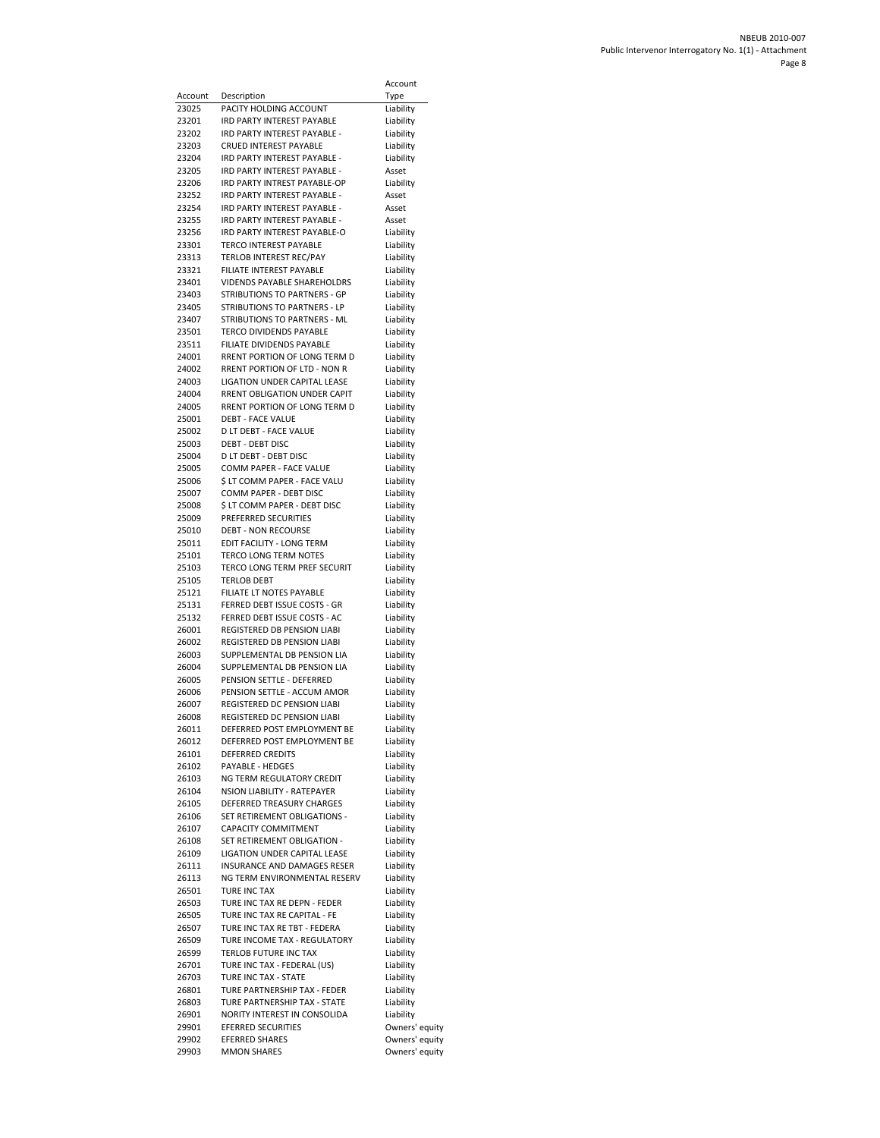|                  |                                                              | Account                          |
|------------------|--------------------------------------------------------------|----------------------------------|
| Account<br>23025 | Description<br>PACITY HOLDING ACCOUNT                        | Type                             |
| 23201            | <b>IRD PARTY INTEREST PAYABLE</b>                            | Liability<br>Liability           |
| 23202            | IRD PARTY INTEREST PAYABLE -                                 | Liability                        |
| 23203            | CRUED INTEREST PAYABLE                                       | Liability                        |
| 23204            | IRD PARTY INTEREST PAYABLE -                                 | Liability                        |
| 23205            | IRD PARTY INTEREST PAYABLE -<br>IRD PARTY INTREST PAYABLE-OP | Asset                            |
| 23206<br>23252   | IRD PARTY INTEREST PAYABLE -                                 | Liability<br>Asset               |
| 23254            | IRD PARTY INTEREST PAYABLE -                                 | Asset                            |
| 23255            | IRD PARTY INTEREST PAYABLE -                                 | Asset                            |
| 23256            | IRD PARTY INTEREST PAYABLE-O                                 | Liability                        |
| 23301<br>23313   | <b>TERCO INTEREST PAYABLE</b><br>TERLOB INTEREST REC/PAY     | Liability<br>Liability           |
| 23321            | FILIATE INTEREST PAYABLE                                     | Liability                        |
| 23401            | VIDENDS PAYABLE SHAREHOLDRS                                  | Liability                        |
| 23403            | <b>STRIBUTIONS TO PARTNERS - GP</b>                          | Liability                        |
| 23405            | STRIBUTIONS TO PARTNERS - LP                                 | Liability                        |
| 23407<br>23501   | STRIBUTIONS TO PARTNERS - ML<br>TERCO DIVIDENDS PAYABLE      | Liability<br>Liability           |
| 23511            | FILIATE DIVIDENDS PAYABLE                                    | Liability                        |
| 24001            | RRENT PORTION OF LONG TERM D                                 | Liability                        |
| 24002            | RRENT PORTION OF LTD - NON R                                 | Liability                        |
| 24003            | LIGATION UNDER CAPITAL LEASE                                 | Liability                        |
| 24004<br>24005   | RRENT OBLIGATION UNDER CAPIT<br>RRENT PORTION OF LONG TERM D | Liability<br>Liability           |
| 25001            | <b>DEBT - FACE VALUE</b>                                     | Liability                        |
| 25002            | D LT DEBT - FACE VALUE                                       | Liability                        |
| 25003            | <b>DEBT - DEBT DISC</b>                                      | Liability                        |
| 25004            | D LT DEBT - DEBT DISC                                        | Liability                        |
| 25005<br>25006   | COMM PAPER - FACE VALUE<br>Ś LT COMM PAPER - FACE VALU       | Liability<br>Liability           |
| 25007            | COMM PAPER - DEBT DISC                                       | Liability                        |
| 25008            | \$ LT COMM PAPER - DEBT DISC                                 | Liability                        |
| 25009            | <b>PREFERRED SECURITIES</b>                                  | Liability                        |
| 25010            | <b>DEBT - NON RECOURSE</b>                                   | Liability                        |
| 25011<br>25101   | EDIT FACILITY - LONG TERM<br>TERCO LONG TERM NOTES           | Liability<br>Liability           |
| 25103            | TERCO LONG TERM PREF SECURIT                                 | Liability                        |
| 25105            | TERLOB DEBT                                                  | Liability                        |
| 25121            | FILIATE LT NOTES PAYABLE                                     | Liability                        |
| 25131<br>25132   | FERRED DEBT ISSUE COSTS - GR<br>FERRED DEBT ISSUE COSTS - AC | Liability                        |
| 26001            | REGISTERED DB PENSION LIABI                                  | Liability<br>Liability           |
| 26002            | REGISTERED DB PENSION LIABI                                  | Liability                        |
| 26003            | SUPPLEMENTAL DB PENSION LIA                                  | Liability                        |
| 26004            | SUPPLEMENTAL DB PENSION LIA                                  | Liability                        |
| 26005<br>26006   | PENSION SETTLE - DEFERRED<br>PENSION SETTLE - ACCUM AMOR     | Liability<br>Liability           |
| 26007            | REGISTERED DC PENSION LIABI                                  | Liability                        |
| 26008            | REGISTERED DC PENSION LIABI                                  | Liability                        |
| 26011            | DEFERRED POST EMPLOYMENT BE                                  | Liability                        |
| 26012            | DEFERRED POST EMPLOYMENT BE                                  | Liability                        |
| 26101<br>26102   | <b>DEFERRED CREDITS</b><br>PAYABLE - HEDGES                  | Liability<br>Liability           |
| 26103            | NG TERM REGULATORY CREDIT                                    | Liability                        |
| 26104            | NSION LIABILITY - RATEPAYER                                  | Liability                        |
| 26105            | DEFERRED TREASURY CHARGES                                    | Liability                        |
| 26106            | SET RETIREMENT OBLIGATIONS -<br>CAPACITY COMMITMENT          | Liability<br>Liability           |
| 26107<br>26108   | SET RETIREMENT OBLIGATION -                                  | Liability                        |
| 26109            | LIGATION UNDER CAPITAL LEASE                                 | Liability                        |
| 26111            | INSURANCE AND DAMAGES RESER                                  | Liability                        |
| 26113            | NG TERM ENVIRONMENTAL RESERV                                 | Liability                        |
| 26501<br>26503   | <b>TURE INC TAX</b><br>TURE INC TAX RE DEPN - FEDER          | Liability<br>Liability           |
| 26505            | TURE INC TAX RE CAPITAL - FE                                 | Liability                        |
| 26507            | TURE INC TAX RE TBT - FEDERA                                 | Liability                        |
| 26509            | TURE INCOME TAX - REGULATORY                                 | Liability                        |
| 26599            | TERLOB FUTURE INC TAX                                        | Liability                        |
| 26701<br>26703   | TURE INC TAX - FEDERAL (US)<br>TURE INC TAX - STATE          | Liability<br>Liability           |
| 26801            | TURE PARTNERSHIP TAX - FEDER                                 | Liability                        |
| 26803            | TURE PARTNERSHIP TAX - STATE                                 | Liability                        |
| 26901            | NORITY INTEREST IN CONSOLIDA                                 | Liability                        |
| 29901<br>29902   | <b>EFERRED SECURITIES</b><br><b>EFERRED SHARES</b>           | Owners' equity                   |
| 29903            | <b>MMON SHARES</b>                                           | Owners' equity<br>Owners' equity |
|                  |                                                              |                                  |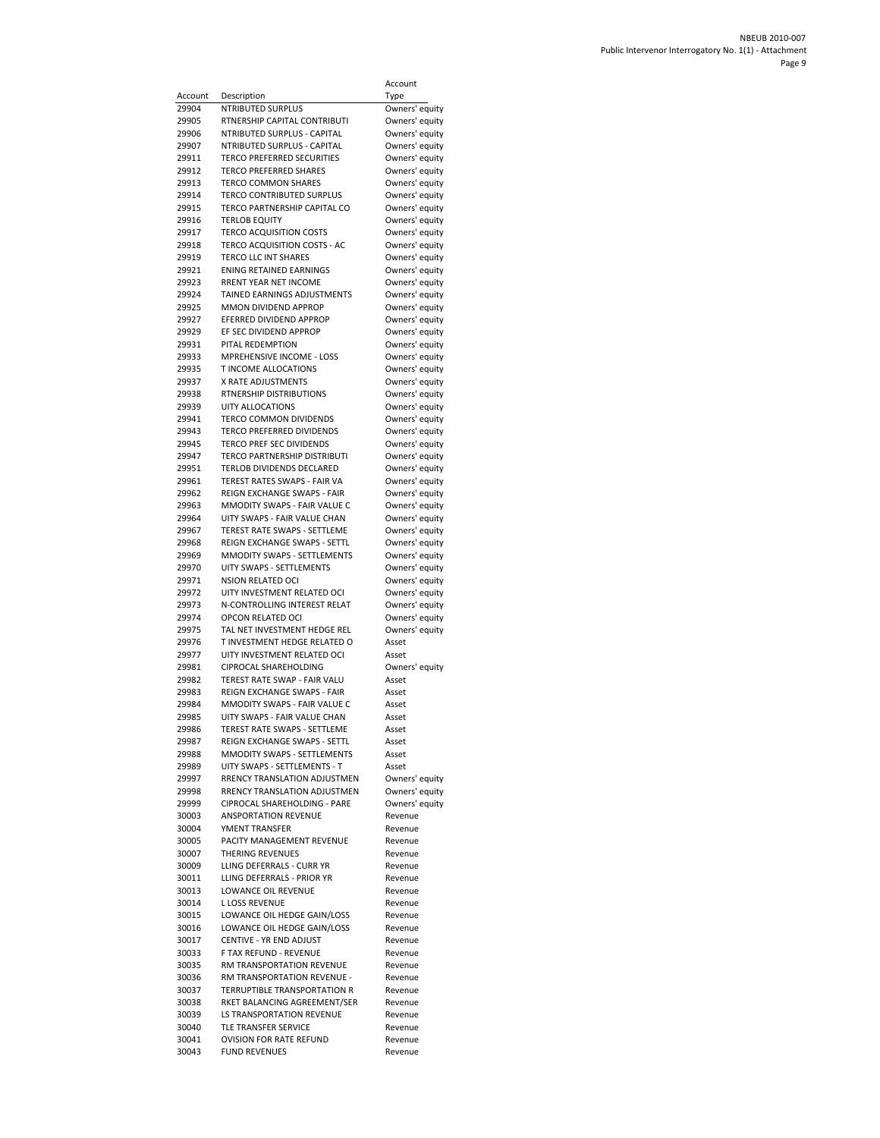|                |                                                             | Account                          |
|----------------|-------------------------------------------------------------|----------------------------------|
| Account        | Description                                                 | Type                             |
| 29904          | NTRIBUTED SURPLUS                                           | Owners' equity                   |
| 29905          | RTNERSHIP CAPITAL CONTRIBUTI<br>NTRIBUTED SURPLUS - CAPITAL | Owners' equity                   |
| 29906<br>29907 | NTRIBUTED SURPLUS - CAPITAL                                 | Owners' equity<br>Owners' equity |
| 29911          | <b>TERCO PREFERRED SECURITIES</b>                           | Owners' equity                   |
| 29912          | <b>TERCO PREFERRED SHARES</b>                               | Owners' equity                   |
| 29913          | TERCO COMMON SHARES                                         | Owners' equity                   |
| 29914          | TERCO CONTRIBUTED SURPLUS                                   | Owners' equity                   |
| 29915          | TERCO PARTNERSHIP CAPITAL CO                                | Owners' equity                   |
| 29916          | <b>TERLOB EQUITY</b>                                        | Owners' equity                   |
| 29917          | <b>TERCO ACQUISITION COSTS</b>                              | Owners' equity                   |
| 29918          | TERCO ACQUISITION COSTS - AC                                | Owners' equity                   |
| 29919          | TERCO LLC INT SHARES                                        | Owners' equity                   |
| 29921          | ENING RETAINED EARNINGS                                     | Owners' equity                   |
| 29923          | RRENT YEAR NET INCOME                                       | Owners' equity                   |
| 29924          | TAINED EARNINGS ADJUSTMENTS                                 | Owners' equity                   |
| 29925          | MMON DIVIDEND APPROP                                        | Owners' equity                   |
| 29927          | EFERRED DIVIDEND APPROP                                     | Owners' equity                   |
| 29929          | EF SEC DIVIDEND APPROP                                      | Owners' equity                   |
| 29931          | PITAL REDEMPTION                                            | Owners' equity                   |
| 29933          | MPREHENSIVE INCOME - LOSS                                   | Owners' equity                   |
| 29935          | T INCOME ALLOCATIONS                                        | Owners' equity                   |
| 29937          | X RATE ADJUSTMENTS                                          | Owners' equity                   |
| 29938          | RTNERSHIP DISTRIBUTIONS                                     | Owners' equity                   |
| 29939          | <b>UITY ALLOCATIONS</b>                                     | Owners' equity                   |
| 29941          | TERCO COMMON DIVIDENDS                                      | Owners' equity                   |
| 29943          | <b>TERCO PREFERRED DIVIDENDS</b>                            | Owners' equity                   |
| 29945          | TERCO PREF SEC DIVIDENDS                                    | Owners' equity                   |
| 29947          | TERCO PARTNERSHIP DISTRIBUTI                                | Owners' equity                   |
| 29951          | <b>TERLOB DIVIDENDS DECLARED</b>                            | Owners' equity                   |
| 29961          | TEREST RATES SWAPS - FAIR VA                                | Owners' equity                   |
| 29962          | REIGN EXCHANGE SWAPS - FAIR                                 | Owners' equity                   |
| 29963          | MMODITY SWAPS - FAIR VALUE C                                | Owners' equity                   |
| 29964          | UITY SWAPS - FAIR VALUE CHAN                                | Owners' equity                   |
| 29967          | TEREST RATE SWAPS - SETTLEME                                | Owners' equity                   |
| 29968          | REIGN EXCHANGE SWAPS - SETTL                                | Owners' equity                   |
| 29969          | MMODITY SWAPS - SETTLEMENTS                                 | Owners' equity                   |
| 29970          | UITY SWAPS - SETTLEMENTS                                    | Owners' equity                   |
| 29971          | <b>NSION RELATED OCI</b>                                    | Owners' equity                   |
| 29972          | UITY INVESTMENT RELATED OCI                                 | Owners' equity                   |
| 29973          | N-CONTROLLING INTEREST RELAT                                | Owners' equity                   |
| 29974          | OPCON RELATED OCI                                           | Owners' equity                   |
| 29975          | TAL NET INVESTMENT HEDGE REL                                | Owners' equity                   |
| 29976          | T INVESTMENT HEDGE RELATED O                                | Asset                            |
| 29977          | UITY INVESTMENT RELATED OCI                                 | Asset                            |
| 29981          | CIPROCAL SHAREHOLDING                                       | Owners' equity                   |
| 29982          | TEREST RATE SWAP - FAIR VALU                                | Asset                            |
| 29983          | REIGN EXCHANGE SWAPS - FAIR                                 | Asset                            |
| 29984          | MMODITY SWAPS - FAIR VALUE C                                | Asset                            |
| 29985          | UITY SWAPS - FAIR VALUE CHAN                                | Asset                            |
| 29986          | TEREST RATE SWAPS - SETTLEME                                | Asset                            |
| 29987          | REIGN EXCHANGE SWAPS - SETTL                                | Asset                            |
| 29988          | MMODITY SWAPS - SETTLEMENTS                                 | Asset                            |
| 29989          | UITY SWAPS - SETTLEMENTS - T                                | Asset                            |
| 29997          | RRENCY TRANSLATION ADJUSTMEN                                | Owners' equity                   |
| 29998          | RRENCY TRANSLATION ADJUSTMEN                                | Owners' equity                   |
| 29999          | CIPROCAL SHAREHOLDING - PARE                                | Owners' equity                   |
| 30003          | <b>ANSPORTATION REVENUE</b>                                 | Revenue                          |
| 30004          | YMENT TRANSFER                                              | Revenue                          |
| 30005          | PACITY MANAGEMENT REVENUE                                   | Revenue                          |
| 30007          | THERING REVENUES                                            | Revenue                          |
| 30009          | LLING DEFERRALS - CURR YR                                   | Revenue                          |
| 30011          | LLING DEFERRALS - PRIOR YR                                  | Revenue                          |
| 30013          | LOWANCE OIL REVENUE                                         | Revenue                          |
| 30014          | L LOSS REVENUE                                              | Revenue                          |
| 30015          | LOWANCE OIL HEDGE GAIN/LOSS                                 | Revenue                          |
| 30016          | LOWANCE OIL HEDGE GAIN/LOSS                                 | Revenue                          |
| 30017          | CENTIVE - YR END ADJUST                                     | Revenue                          |
| 30033          | F TAX REFUND - REVENUE                                      | Revenue                          |
| 30035          | RM TRANSPORTATION REVENUE                                   | Revenue                          |
| 30036          | RM TRANSPORTATION REVENUE -                                 | Revenue                          |
| 30037          | TERRUPTIBLE TRANSPORTATION R                                | Revenue                          |
| 30038          | RKET BALANCING AGREEMENT/SER                                | Revenue                          |
| 30039          | LS TRANSPORTATION REVENUE                                   | Revenue                          |
| 30040          | TLE TRANSFER SERVICE                                        | Revenue                          |
| 30041          | <b>OVISION FOR RATE REFUND</b>                              | Revenue                          |
| 30043          | <b>FUND REVENUES</b>                                        | Revenue                          |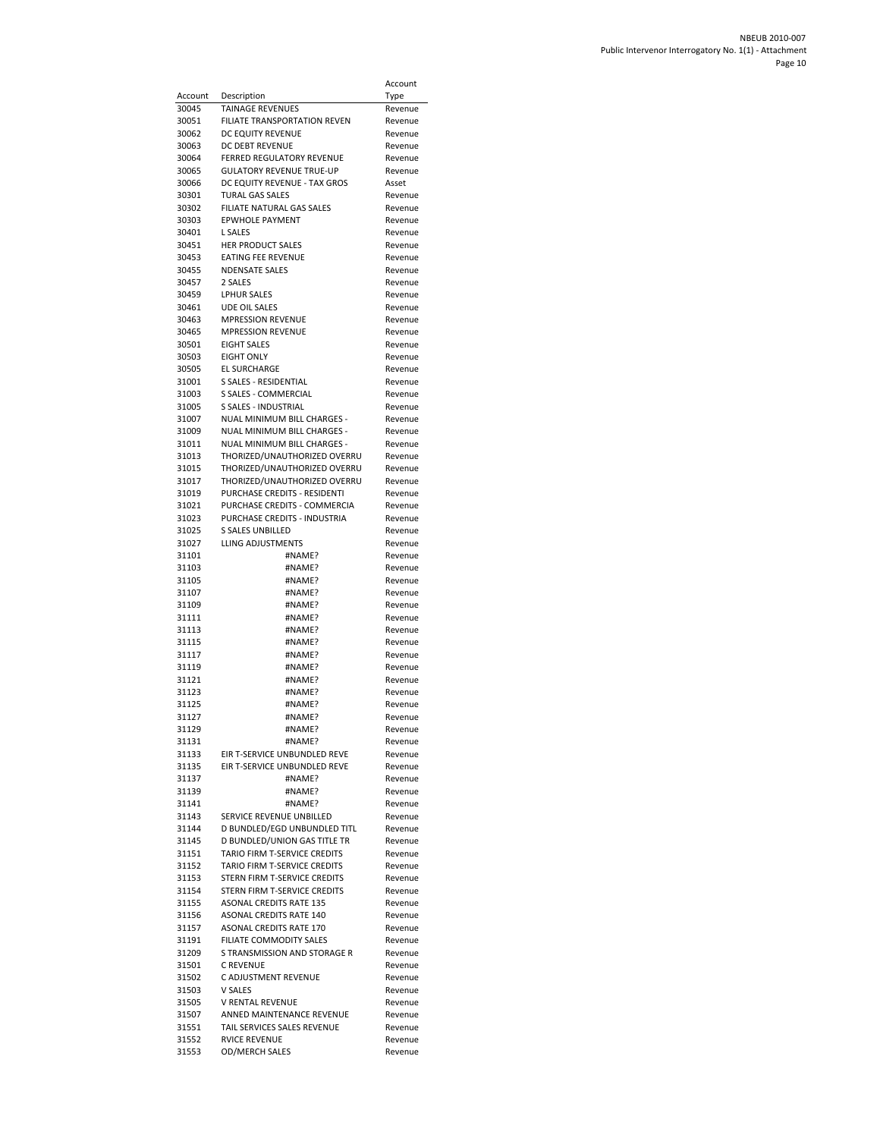|                |                                                                | Account            |
|----------------|----------------------------------------------------------------|--------------------|
| Account        | Description                                                    | Type               |
| 30045          | TAINAGE REVENUES                                               | Revenue            |
| 30051          | FILIATE TRANSPORTATION REVEN                                   | Revenue            |
| 30062          | DC EQUITY REVENUE                                              | Revenue            |
| 30063          | DC DEBT REVENUE<br><b>FERRED REGULATORY REVENUE</b>            | Revenue            |
| 30064<br>30065 | <b>GULATORY REVENUE TRUE-UP</b>                                | Revenue<br>Revenue |
| 30066          | DC EQUITY REVENUE - TAX GROS                                   | Asset              |
| 30301          | <b>TURAL GAS SALES</b>                                         | Revenue            |
| 30302          | FILIATE NATURAL GAS SALES                                      | Revenue            |
| 30303          | <b>EPWHOLE PAYMENT</b>                                         | Revenue            |
| 30401          | <b>L SALES</b>                                                 | Revenue            |
| 30451          | <b>HER PRODUCT SALES</b>                                       | Revenue            |
| 30453<br>30455 | <b>EATING FEE REVENUE</b><br><b>NDENSATE SALES</b>             | Revenue<br>Revenue |
| 30457          | 2 SALES                                                        | Revenue            |
| 30459          | <b>LPHUR SALES</b>                                             | Revenue            |
| 30461          | <b>UDE OIL SALES</b>                                           | Revenue            |
| 30463          | <b>MPRESSION REVENUE</b>                                       | Revenue            |
| 30465          | <b>MPRESSION REVENUE</b>                                       | Revenue            |
| 30501          | <b>EIGHT SALES</b>                                             | Revenue            |
| 30503          | <b>EIGHT ONLY</b>                                              | Revenue            |
| 30505<br>31001 | <b>EL SURCHARGE</b><br>S SALES - RESIDENTIAL                   | Revenue<br>Revenue |
| 31003          | S SALES - COMMERCIAL                                           | Revenue            |
| 31005          | <b>S SALES - INDUSTRIAL</b>                                    | Revenue            |
| 31007          | NUAL MINIMUM BILL CHARGES -                                    | Revenue            |
| 31009          | NUAL MINIMUM BILL CHARGES -                                    | Revenue            |
| 31011          | NUAL MINIMUM BILL CHARGES -                                    | Revenue            |
| 31013          | THORIZED/UNAUTHORIZED OVERRU                                   | Revenue            |
| 31015          | THORIZED/UNAUTHORIZED OVERRU                                   | Revenue            |
| 31017<br>31019 | THORIZED/UNAUTHORIZED OVERRU<br>PURCHASE CREDITS - RESIDENTI   | Revenue<br>Revenue |
| 31021          | PURCHASE CREDITS - COMMERCIA                                   | Revenue            |
| 31023          | PURCHASE CREDITS - INDUSTRIA                                   | Revenue            |
| 31025          | S SALES UNBILLED                                               | Revenue            |
| 31027          | LLING ADJUSTMENTS                                              | Revenue            |
| 31101          | #NAME?                                                         | Revenue            |
| 31103          | #NAME?                                                         | Revenue            |
| 31105<br>31107 | #NAME?<br>#NAME?                                               | Revenue<br>Revenue |
| 31109          | #NAME?                                                         | Revenue            |
| 31111          | #NAME?                                                         | Revenue            |
| 31113          | #NAME?                                                         | Revenue            |
| 31115          | #NAME?                                                         | Revenue            |
| 31117          | #NAME?                                                         | Revenue            |
| 31119          | #NAME?                                                         | Revenue            |
| 31121<br>31123 | #NAME?<br>#NAME?                                               | Revenue            |
| 31125          | #NAME?                                                         | Revenue<br>Revenue |
| 31127          | #NAME?                                                         | Revenue            |
| 31129          | #NAME?                                                         | Revenue            |
| 31131          | #NAME?                                                         | Revenue            |
| 31133          | EIR T-SERVICE UNBUNDLED REVE                                   | Revenue            |
| 31135          | EIR T-SERVICE UNBUNDLED REVE                                   | Revenue            |
| 31137<br>31139 | #NAME?                                                         | Revenue<br>Revenue |
| 31141          | #NAME?<br>#NAME?                                               | Revenue            |
| 31143          | SERVICE REVENUE UNBILLED                                       | Revenue            |
| 31144          | D BUNDLED/EGD UNBUNDLED TITL                                   | Revenue            |
| 31145          | <b>D BUNDLED/UNION GAS TITLE TR</b>                            | Revenue            |
| 31151          | TARIO FIRM T-SERVICE CREDITS                                   | Revenue            |
| 31152          | TARIO FIRM T-SERVICE CREDITS                                   | Revenue            |
| 31153          | STERN FIRM T-SERVICE CREDITS                                   | Revenue            |
| 31154<br>31155 | STERN FIRM T-SERVICE CREDITS<br><b>ASONAL CREDITS RATE 135</b> | Revenue            |
| 31156          | <b>ASONAL CREDITS RATE 140</b>                                 | Revenue<br>Revenue |
| 31157          | <b>ASONAL CREDITS RATE 170</b>                                 | Revenue            |
| 31191          | FILIATE COMMODITY SALES                                        | Revenue            |
| 31209          | S TRANSMISSION AND STORAGE R                                   | Revenue            |
| 31501          | <b>C REVENUE</b>                                               | Revenue            |
| 31502          | C ADJUSTMENT REVENUE                                           | Revenue            |
| 31503          | V SALES                                                        | Revenue            |
| 31505<br>31507 | V RENTAL REVENUE<br>ANNED MAINTENANCE REVENUE                  | Revenue<br>Revenue |
| 31551          | TAIL SERVICES SALES REVENUE                                    | Revenue            |
| 31552          | <b>RVICE REVENUE</b>                                           | Revenue            |
| 31553          | OD/MERCH SALES                                                 | Revenue            |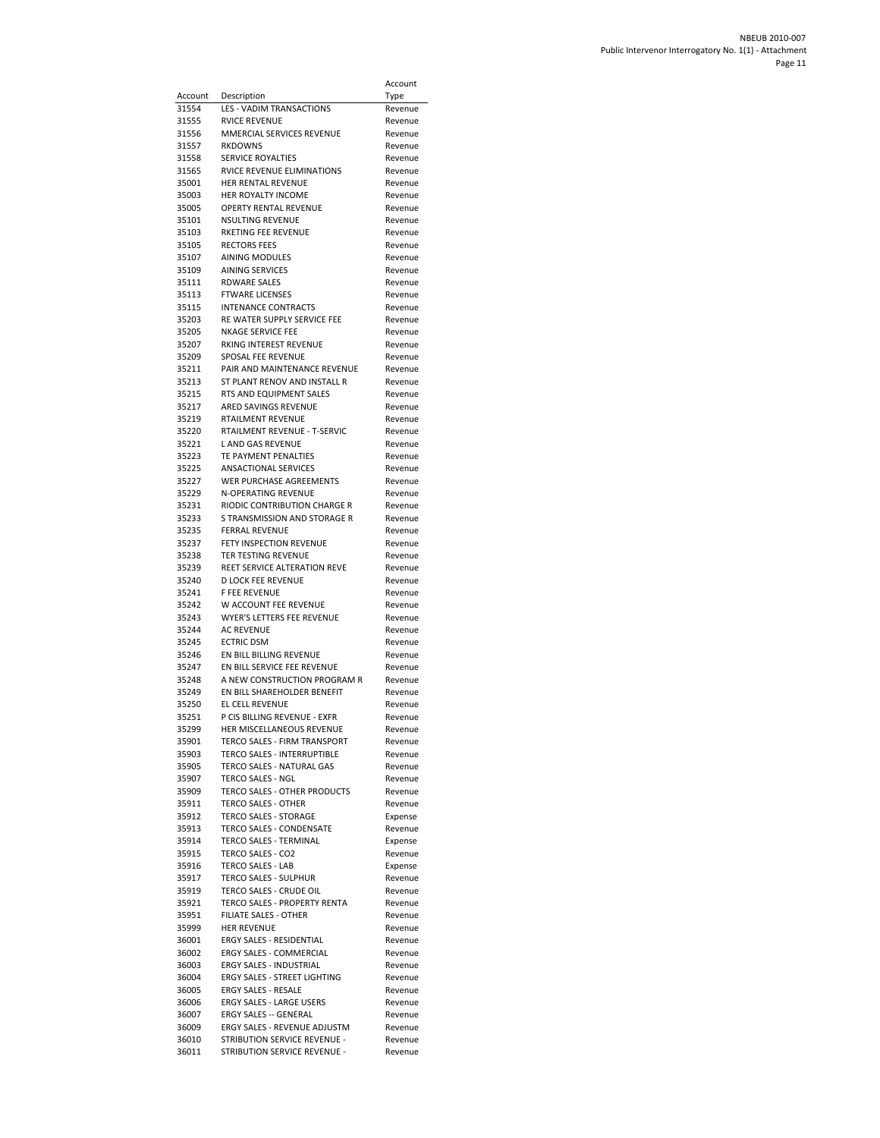|                |                                                             | Account            |
|----------------|-------------------------------------------------------------|--------------------|
| Account        | Description                                                 | Type               |
| 31554          | LES - VADIM TRANSACTIONS                                    | Revenue            |
| 31555          | RVICE REVENUE                                               | Revenue            |
| 31556          | MMERCIAL SERVICES REVENUE                                   | Revenue            |
| 31557          | <b>RKDOWNS</b>                                              | Revenue            |
| 31558          | SERVICE ROYALTIES                                           | Revenue            |
| 31565          | RVICE REVENUE ELIMINATIONS                                  | Revenue            |
| 35001          | HER RENTAL REVENUE                                          | Revenue            |
| 35003          | HER ROYALTY INCOME                                          | Revenue            |
| 35005          | <b>OPERTY RENTAL REVENUE</b>                                | Revenue            |
| 35101          | NSULTING REVENUE                                            | Revenue            |
| 35103<br>35105 | RKETING FEE REVENUE<br><b>RECTORS FEES</b>                  | Revenue            |
| 35107          | AINING MODULES                                              | Revenue<br>Revenue |
| 35109          | <b>AINING SERVICES</b>                                      | Revenue            |
| 35111          | RDWARE SALES                                                | Revenue            |
| 35113          | <b>FTWARE LICENSES</b>                                      | Revenue            |
| 35115          | <b>INTENANCE CONTRACTS</b>                                  | Revenue            |
| 35203          | RE WATER SUPPLY SERVICE FEE                                 | Revenue            |
| 35205          | NKAGE SERVICE FEE                                           | Revenue            |
| 35207          | RKING INTEREST REVENUE                                      | Revenue            |
| 35209          | SPOSAL FEE REVENUE                                          | Revenue            |
| 35211          | PAIR AND MAINTENANCE REVENUE                                | Revenue            |
| 35213          | ST PLANT RENOV AND INSTALL R                                | Revenue            |
| 35215<br>35217 | RTS AND EQUIPMENT SALES<br>ARED SAVINGS REVENUE             | Revenue<br>Revenue |
| 35219          | <b>RTAILMENT REVENUE</b>                                    | Revenue            |
| 35220          | RTAILMENT REVENUE - T-SERVIC                                | Revenue            |
| 35221          | L AND GAS REVENUE                                           | Revenue            |
| 35223          | TE PAYMENT PENALTIES                                        | Revenue            |
| 35225          | <b>ANSACTIONAL SERVICES</b>                                 | Revenue            |
| 35227          | WER PURCHASE AGREEMENTS                                     | Revenue            |
| 35229          | N-OPERATING REVENUE                                         | Revenue            |
| 35231          | RIODIC CONTRIBUTION CHARGE R                                | Revenue            |
| 35233<br>35235 | S TRANSMISSION AND STORAGE R<br>FERRAL REVENUE              | Revenue<br>Revenue |
| 35237          | FETY INSPECTION REVENUE                                     | Revenue            |
| 35238          | TER TESTING REVENUE                                         | Revenue            |
| 35239          | REET SERVICE ALTERATION REVE                                | Revenue            |
| 35240          | D LOCK FEE REVENUE                                          | Revenue            |
| 35241          | <b>F FEE REVENUE</b>                                        | Revenue            |
| 35242          | W ACCOUNT FEE REVENUE                                       | Revenue            |
| 35243<br>35244 | WYER'S LETTERS FEE REVENUE<br><b>AC REVENUE</b>             | Revenue            |
| 35245          | <b>ECTRIC DSM</b>                                           | Revenue<br>Revenue |
| 35246          | EN BILL BILLING REVENUE                                     | Revenue            |
| 35247          | EN BILL SERVICE FEE REVENUE                                 | Revenue            |
| 35248          | A NEW CONSTRUCTION PROGRAM R                                | Revenue            |
| 35249          | EN BILL SHAREHOLDER BENEFIT                                 | Revenue            |
| 35250          | EL CELL REVENUE                                             | Revenue            |
| 35251          | P CIS RILLING REVENUE - EXER                                | Revenue            |
| 35299          | HER MISCELLANEOUS REVENUE                                   | Revenue            |
| 35901<br>35903 | TERCO SALES - FIRM TRANSPORT<br>TERCO SALES - INTERRUPTIBLE | Revenue<br>Revenue |
| 35905          | TERCO SALES - NATURAL GAS                                   | Revenue            |
| 35907          | <b>TERCO SALES - NGL</b>                                    | Revenue            |
| 35909          | TERCO SALES - OTHER PRODUCTS                                | Revenue            |
| 35911          | <b>TERCO SALES - OTHER</b>                                  | Revenue            |
| 35912          | TERCO SALES - STORAGE                                       | Expense            |
| 35913          | TERCO SALES - CONDENSATE                                    | Revenue            |
| 35914          | TERCO SALES - TERMINAL                                      | Expense            |
| 35915          | TERCO SALES - CO2                                           | Revenue            |
| 35916<br>35917 | TERCO SALES - LAB                                           | Expense            |
| 35919          | TERCO SALES - SULPHUR<br>TERCO SALES - CRUDE OIL            | Revenue<br>Revenue |
| 35921          | TERCO SALES - PROPERTY RENTA                                | Revenue            |
| 35951          | FILIATE SALES - OTHER                                       | Revenue            |
| 35999          | <b>HER REVENUE</b>                                          | Revenue            |
| 36001          | ERGY SALES - RESIDENTIAL                                    | Revenue            |
| 36002          | ERGY SALES - COMMERCIAL                                     | Revenue            |
| 36003          | ERGY SALES - INDUSTRIAL                                     | Revenue            |
| 36004          | ERGY SALES - STREET LIGHTING                                | Revenue            |
| 36005<br>36006 | ERGY SALES - RESALE<br>ERGY SALES - LARGE USERS             | Revenue<br>Revenue |
| 36007          | <b>ERGY SALES -- GENERAL</b>                                | Revenue            |
| 36009          | ERGY SALES - REVENUE ADJUSTM                                | Revenue            |
| 36010          | STRIBUTION SERVICE REVENUE -                                | Revenue            |
| 36011          | STRIBUTION SERVICE REVENUE -                                | Revenue            |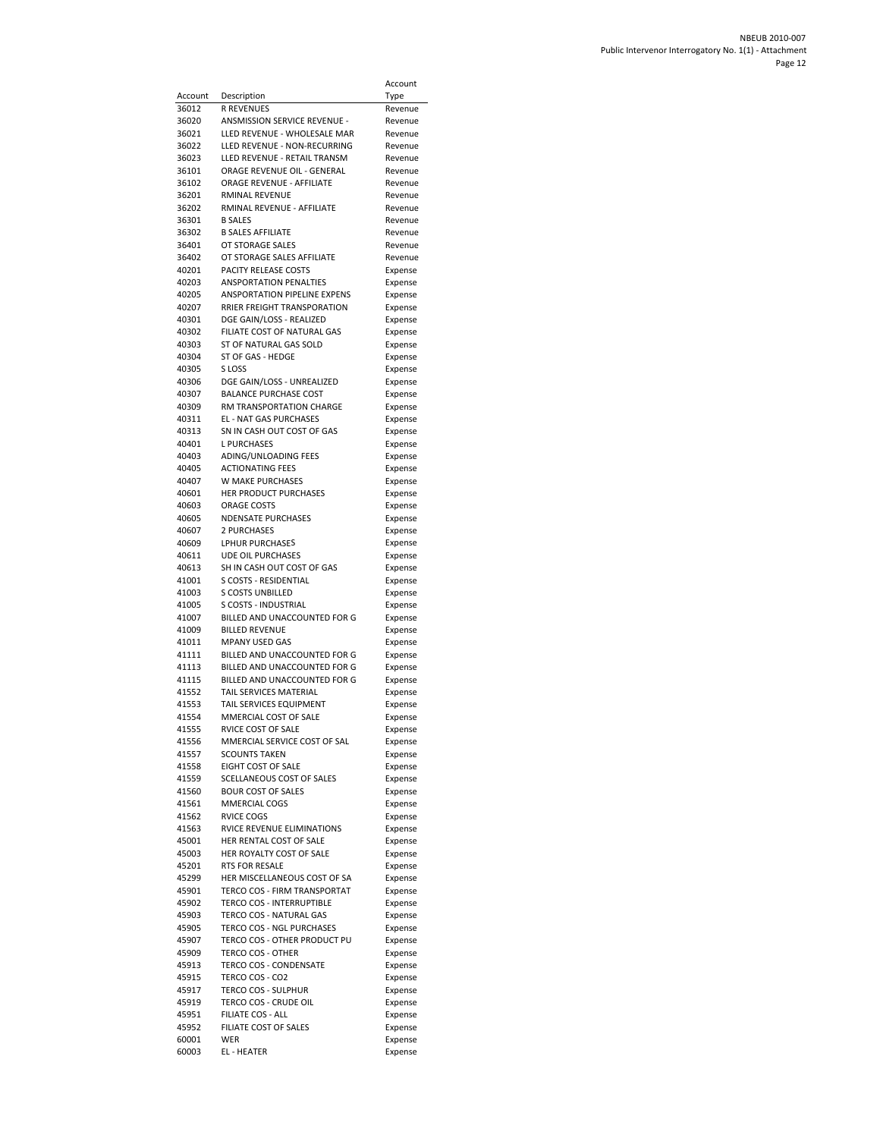|                |                                                              | Account            |
|----------------|--------------------------------------------------------------|--------------------|
| Account        | Description                                                  | Type               |
| 36012          | R REVENUES                                                   | Revenue            |
| 36020          | ANSMISSION SERVICE REVENUE -                                 | Revenue            |
| 36021<br>36022 | LLED REVENUE - WHOLESALE MAR<br>LLED REVENUE - NON-RECURRING | Revenue            |
| 36023          | LLED REVENUE - RETAIL TRANSM                                 | Revenue<br>Revenue |
| 36101          | ORAGE REVENUE OIL - GENERAL                                  | Revenue            |
| 36102          | ORAGE REVENUE - AFFILIATE                                    | Revenue            |
| 36201          | RMINAL REVENUE                                               | Revenue            |
| 36202          | RMINAL REVENUE - AFFILIATE                                   | Revenue            |
| 36301<br>36302 | <b>B SALES</b><br><b>B SALES AFFILIATE</b>                   | Revenue<br>Revenue |
| 36401          | OT STORAGE SALES                                             | Revenue            |
| 36402          | OT STORAGE SALES AFFILIATE                                   | Revenue            |
| 40201          | PACITY RELEASE COSTS                                         | Expense            |
| 40203          | <b>ANSPORTATION PENALTIES</b>                                | Expense            |
| 40205          | ANSPORTATION PIPELINE EXPENS                                 | Expense            |
| 40207<br>40301 | RRIER FREIGHT TRANSPORATION<br>DGE GAIN/LOSS - REALIZED      | Expense<br>Expense |
| 40302          | FILIATE COST OF NATURAL GAS                                  | Expense            |
| 40303          | ST OF NATURAL GAS SOLD                                       | Expense            |
| 40304          | ST OF GAS - HEDGE                                            | Expense            |
| 40305          | S LOSS                                                       | Expense            |
| 40306          | DGE GAIN/LOSS - UNREALIZED                                   | Expense            |
| 40307<br>40309 | <b>BALANCE PURCHASE COST</b><br>RM TRANSPORTATION CHARGE     | Expense            |
| 40311          | <b>EL - NAT GAS PURCHASES</b>                                | Expense<br>Expense |
| 40313          | SN IN CASH OUT COST OF GAS                                   | Expense            |
| 40401          | <b>L PURCHASES</b>                                           | Expense            |
| 40403          | ADING/UNLOADING FEES                                         | Expense            |
| 40405          | <b>ACTIONATING FEES</b>                                      | Expense            |
| 40407<br>40601 | W MAKE PURCHASES<br>HER PRODUCT PURCHASES                    | Expense            |
| 40603          | <b>ORAGE COSTS</b>                                           | Expense<br>Expense |
| 40605          | <b>NDENSATE PURCHASES</b>                                    | Expense            |
| 40607          | 2 PURCHASES                                                  | Expense            |
| 40609          | LPHUR PURCHASES                                              | Expense            |
| 40611          | <b>UDE OIL PURCHASES</b>                                     | Expense            |
| 40613<br>41001 | SH IN CASH OUT COST OF GAS<br>S COSTS - RESIDENTIAL          | Expense<br>Expense |
| 41003          | <b>S COSTS UNBILLED</b>                                      | Expense            |
| 41005          | S COSTS - INDUSTRIAL                                         | Expense            |
| 41007          | BILLED AND UNACCOUNTED FOR G                                 | Expense            |
| 41009          | <b>BILLED REVENUE</b>                                        | Expense            |
| 41011<br>41111 | <b>MPANY USED GAS</b><br>BILLED AND UNACCOUNTED FOR G        | Expense            |
| 41113          | BILLED AND UNACCOUNTED FOR G                                 | Expense<br>Expense |
| 41115          | BILLED AND UNACCOUNTED FOR G                                 | Expense            |
| 41552          | <b>TAIL SERVICES MATERIAL</b>                                | Expense            |
| 41553          | TAIL SERVICES EQUIPMENT                                      | Expense            |
| 41554          | MMERCIAL COST OF SALE                                        | Expense            |
| 41555          | RVICE COST OF SALE                                           | Expense            |
| 41556<br>41557 | MMERCIAL SERVICE COST OF SAL<br><b>SCOUNTS TAKEN</b>         | Expense<br>Expense |
| 41558          | EIGHT COST OF SALE                                           | Expense            |
| 41559          | SCELLANEOUS COST OF SALES                                    | Expense            |
| 41560          | <b>BOUR COST OF SALES</b>                                    | Expense            |
| 41561          | MMERCIAL COGS                                                | Expense            |
| 41562<br>41563 | RVICE COGS<br>RVICE REVENUE ELIMINATIONS                     | Expense<br>Expense |
| 45001          | HER RENTAL COST OF SALE                                      | Expense            |
| 45003          | HER ROYALTY COST OF SALE                                     | Expense            |
| 45201          | RTS FOR RESALE                                               | Expense            |
| 45299          | HER MISCELLANEOUS COST OF SA                                 | Expense            |
| 45901          | TERCO COS - FIRM TRANSPORTAT                                 | Expense            |
| 45902<br>45903 | TERCO COS - INTERRUPTIBLE<br>TERCO COS - NATURAL GAS         | Expense            |
| 45905          | TERCO COS - NGL PURCHASES                                    | Expense<br>Expense |
| 45907          | TERCO COS - OTHER PRODUCT PU                                 | Expense            |
| 45909          | <b>TERCO COS - OTHER</b>                                     | Expense            |
| 45913          | TERCO COS - CONDENSATE                                       | Expense            |
| 45915          | TERCO COS - CO2                                              | Expense            |
| 45917          | <b>TERCO COS - SULPHUR</b>                                   | Expense            |
| 45919<br>45951 | TERCO COS - CRUDE OIL<br><b>FILIATE COS - ALL</b>            | Expense<br>Expense |
| 45952          | FILIATE COST OF SALES                                        | Expense            |
| 60001          | WER                                                          | Expense            |
| 60003          | EL - HEATER                                                  | Expense            |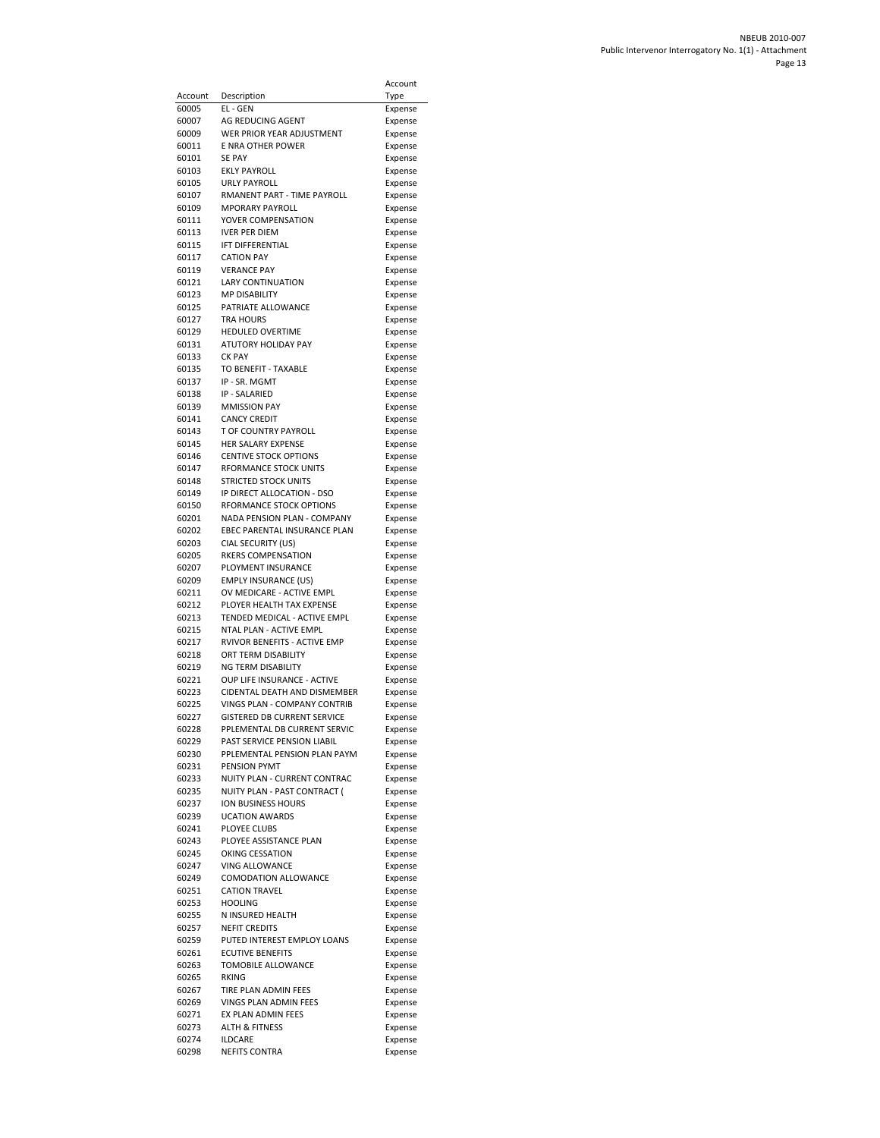|                  |                                                              | Account            |
|------------------|--------------------------------------------------------------|--------------------|
| Account<br>60005 | Description<br>EL - GEN                                      | Type               |
| 60007            | AG REDUCING AGENT                                            | Expense<br>Expense |
| 60009            | WER PRIOR YEAR ADJUSTMENT                                    | Expense            |
| 60011            | E NRA OTHER POWER                                            | Expense            |
| 60101            | <b>SE PAY</b><br><b>EKLY PAYROLL</b>                         | Expense            |
| 60103<br>60105   | <b>URLY PAYROLL</b>                                          | Expense<br>Expense |
| 60107            | RMANENT PART - TIME PAYROLL                                  | Expense            |
| 60109            | <b>MPORARY PAYROLL</b>                                       | Expense            |
| 60111            | YOVER COMPENSATION                                           | Expense            |
| 60113<br>60115   | <b>IVER PER DIEM</b><br><b>IFT DIFFERENTIAL</b>              | Expense<br>Expense |
| 60117            | <b>CATION PAY</b>                                            | Expense            |
| 60119            | <b>VERANCE PAY</b>                                           | Expense            |
| 60121            | <b>LARY CONTINUATION</b>                                     | Expense            |
| 60123<br>60125   | <b>MP DISABILITY</b><br>PATRIATE ALLOWANCE                   | Expense<br>Expense |
| 60127            | <b>TRA HOURS</b>                                             | Expense            |
| 60129            | <b>HEDULED OVERTIME</b>                                      | Expense            |
| 60131            | ATUTORY HOLIDAY PAY                                          | Expense            |
| 60133<br>60135   | <b>CK PAY</b><br>TO BENEFIT - TAXABLE                        | Expense<br>Expense |
| 60137            | IP - SR. MGMT                                                | Expense            |
| 60138            | IP - SALARIED                                                | Expense            |
| 60139            | <b>MMISSION PAY</b>                                          | Expense            |
| 60141<br>60143   | <b>CANCY CREDIT</b><br>T OF COUNTRY PAYROLL                  | Expense            |
| 60145            | <b>HER SALARY EXPENSE</b>                                    | Expense<br>Expense |
| 60146            | <b>CENTIVE STOCK OPTIONS</b>                                 | Expense            |
| 60147            | <b>RFORMANCE STOCK UNITS</b>                                 | Expense            |
| 60148<br>60149   | <b>STRICTED STOCK UNITS</b><br>IP DIRECT ALLOCATION - DSO    | Expense            |
| 60150            | RFORMANCE STOCK OPTIONS                                      | Expense<br>Expense |
| 60201            | NADA PENSION PLAN - COMPANY                                  | Expense            |
| 60202            | EBEC PARENTAL INSURANCE PLAN                                 | Expense            |
| 60203<br>60205   | CIAL SECURITY (US)<br>RKERS COMPENSATION                     | Expense            |
| 60207            | PLOYMENT INSURANCE                                           | Expense<br>Expense |
| 60209            | <b>EMPLY INSURANCE (US)</b>                                  | Expense            |
| 60211            | OV MEDICARE - ACTIVE EMPL                                    | Expense            |
| 60212<br>60213   | PLOYER HEALTH TAX EXPENSE<br>TENDED MEDICAL - ACTIVE EMPL    | Expense<br>Expense |
| 60215            | NTAL PLAN - ACTIVE EMPL                                      | Expense            |
| 60217            | RVIVOR BENEFITS - ACTIVE EMP                                 | Expense            |
| 60218<br>60219   | ORT TERM DISABILITY<br>NG TERM DISABILITY                    | Expense            |
| 60221            | OUP LIFE INSURANCE - ACTIVE                                  | Expense<br>Expense |
| 60223            | CIDENTAL DEATH AND DISMEMBER                                 | Expense            |
| 60225            | VINGS PLAN - COMPANY CONTRIB                                 | Expense            |
| 60227<br>60228   | GISTERED DB CURRENT SERVICE<br>PPLEMENTAL DB CURRENT SERVIC  | Expense            |
| 60229            | PAST SERVICE PENSION LIABIL                                  | Expense<br>Expense |
| 60230            | PPLEMENTAL PENSION PLAN PAYM                                 | Expense            |
| 60231            | PENSION PYMT                                                 | Expense            |
| 60233<br>60235   | NUITY PLAN - CURRENT CONTRAC<br>NUITY PLAN - PAST CONTRACT ( | Expense            |
| 60237            | ION BUSINESS HOURS                                           | Expense<br>Expense |
| 60239            | <b>UCATION AWARDS</b>                                        | Expense            |
| 60241            | PLOYEE CLUBS                                                 | Expense            |
| 60243<br>60245   | PLOYEE ASSISTANCE PLAN<br>OKING CESSATION                    | Expense<br>Expense |
| 60247            | VING ALLOWANCE                                               | Expense            |
| 60249            | COMODATION ALLOWANCE                                         | Expense            |
| 60251            | <b>CATION TRAVEL</b>                                         | Expense            |
| 60253<br>60255   | <b>HOOLING</b><br>N INSURED HEALTH                           | Expense<br>Expense |
| 60257            | <b>NEFIT CREDITS</b>                                         | Expense            |
| 60259            | PUTED INTEREST EMPLOY LOANS                                  | Expense            |
| 60261            | <b>ECUTIVE BENEFITS</b>                                      | Expense            |
| 60263<br>60265   | TOMOBILE ALLOWANCE<br>RKING                                  | Expense<br>Expense |
| 60267            | TIRE PLAN ADMIN FEES                                         | Expense            |
| 60269            | VINGS PLAN ADMIN FEES                                        | Expense            |
| 60271            | EX PLAN ADMIN FEES                                           | Expense            |
| 60273<br>60274   | <b>ALTH &amp; FITNESS</b><br><b>ILDCARE</b>                  | Expense<br>Expense |
| 60298            | <b>NEFITS CONTRA</b>                                         | Expense            |
|                  |                                                              |                    |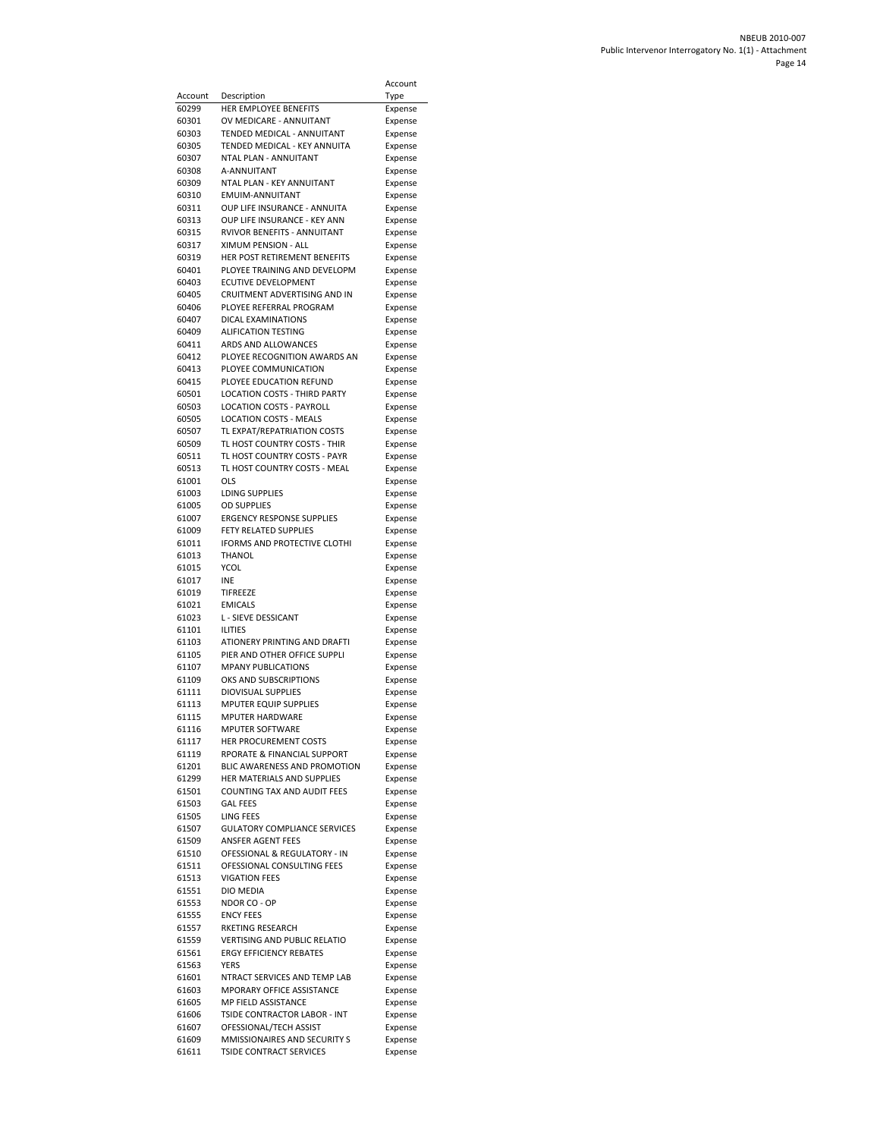|                  |                                                                | Account            |
|------------------|----------------------------------------------------------------|--------------------|
| Account<br>60299 | Description<br>HER EMPLOYEE BENEFITS                           | Type               |
| 60301            | OV MEDICARE - ANNUITANT                                        | Expense<br>Expense |
| 60303            | TENDED MEDICAL - ANNUITANT                                     | Expense            |
| 60305            | TENDED MEDICAL - KEY ANNUITA                                   | Expense            |
| 60307            | <b>NTAL PLAN - ANNUITANT</b>                                   | Expense            |
| 60308            | A-ANNUITANT                                                    | Expense            |
| 60309<br>60310   | NTAL PLAN - KEY ANNUITANT<br>EMUIM-ANNUITANT                   | Expense<br>Expense |
| 60311            | OUP LIFE INSURANCE - ANNUITA                                   | Expense            |
| 60313            | OUP LIFE INSURANCE - KEY ANN                                   | Expense            |
| 60315            | RVIVOR BENEFITS - ANNUITANT                                    | Expense            |
| 60317            | XIMUM PENSION - ALL                                            | Expense            |
| 60319            | HER POST RETIREMENT BENEFITS                                   | Expense            |
| 60401<br>60403   | PLOYEE TRAINING AND DEVELOPM<br>ECUTIVE DEVELOPMENT            | Expense<br>Expense |
| 60405            | CRUITMENT ADVERTISING AND IN                                   | Expense            |
| 60406            | PLOYEE REFERRAL PROGRAM                                        | Expense            |
| 60407            | DICAL EXAMINATIONS                                             | Expense            |
| 60409            | <b>ALIFICATION TESTING</b>                                     | Expense            |
| 60411<br>60412   | ARDS AND ALLOWANCES<br>PLOYEE RECOGNITION AWARDS AN            | Expense<br>Expense |
| 60413            | PLOYEE COMMUNICATION                                           | Expense            |
| 60415            | PLOYEE EDUCATION REFUND                                        | Expense            |
| 60501            | LOCATION COSTS - THIRD PARTY                                   | Expense            |
| 60503            | <b>LOCATION COSTS - PAYROLL</b>                                | Expense            |
| 60505            | <b>LOCATION COSTS - MEALS</b>                                  | Expense            |
| 60507<br>60509   | TL EXPAT/REPATRIATION COSTS<br>TL HOST COUNTRY COSTS - THIR    | Expense<br>Expense |
| 60511            | TL HOST COUNTRY COSTS - PAYR                                   | Expense            |
| 60513            | TL HOST COUNTRY COSTS - MEAL                                   | Expense            |
| 61001            | OLS                                                            | Expense            |
| 61003            | LDING SUPPLIES                                                 | Expense            |
| 61005            | <b>OD SUPPLIES</b>                                             | Expense            |
| 61007<br>61009   | ERGENCY RESPONSE SUPPLIES<br>FETY RELATED SUPPLIES             | Expense            |
| 61011            | IFORMS AND PROTECTIVE CLOTHI                                   | Expense<br>Expense |
| 61013            | <b>THANOL</b>                                                  | Expense            |
| 61015            | YCOL                                                           | Expense            |
| 61017            | <b>INE</b>                                                     | Expense            |
| 61019            | TIFREEZE                                                       | Expense            |
| 61021<br>61023   | <b>EMICALS</b><br>L - SIEVE DESSICANT                          | Expense<br>Expense |
| 61101            | <b>ILITIES</b>                                                 | Expense            |
| 61103            | ATIONERY PRINTING AND DRAFTI                                   | Expense            |
| 61105            | PIER AND OTHER OFFICE SUPPLI                                   | Expense            |
| 61107            | <b>MPANY PUBLICATIONS</b>                                      | Expense            |
| 61109<br>61111   | OKS AND SUBSCRIPTIONS<br><b>DIOVISUAL SUPPLIES</b>             | Expense<br>Expense |
| 61113            | <b>MPUTER EQUIP SUPPLIES</b>                                   | Expense            |
| 61115            | <b>MPUTER HARDWARE</b>                                         | Expense            |
| 61116            | MPUTER SOFTWARE                                                | Expense            |
| 61117            | HER PROCUREMENT COSTS                                          | Expense            |
| 61119<br>61201   | RPORATE & FINANCIAL SUPPORT<br>BLIC AWARENESS AND PROMOTION    | Expense            |
| 61299            | HER MATERIALS AND SUPPLIES                                     | Expense<br>Expense |
| 61501            | COUNTING TAX AND AUDIT FEES                                    | Expense            |
| 61503            | <b>GAL FEES</b>                                                | Expense            |
| 61505            | LING FEES                                                      | Expense            |
| 61507            | <b>GULATORY COMPLIANCE SERVICES</b>                            | Expense            |
| 61509            | ANSFER AGENT FEES                                              | Expense            |
| 61510<br>61511   | OFESSIONAL & REGULATORY - IN<br>OFESSIONAL CONSULTING FEES     | Expense<br>Expense |
| 61513            | <b>VIGATION FEES</b>                                           | Expense            |
| 61551            | DIO MEDIA                                                      | Expense            |
| 61553            | NDOR CO - OP                                                   | Expense            |
| 61555            | <b>ENCY FEES</b>                                               | Expense            |
| 61557            | RKETING RESEARCH                                               | Expense            |
| 61559<br>61561   | VERTISING AND PUBLIC RELATIO<br><b>ERGY EFFICIENCY REBATES</b> | Expense<br>Expense |
| 61563            | YERS                                                           | Expense            |
| 61601            | NTRACT SERVICES AND TEMP LAB                                   | Expense            |
| 61603            | MPORARY OFFICE ASSISTANCE                                      | Expense            |
| 61605            | MP FIELD ASSISTANCE                                            | Expense            |
| 61606            | TSIDE CONTRACTOR LABOR - INT<br>OFESSIONAL/TECH ASSIST         | Expense            |
| 61607<br>61609   | MMISSIONAIRES AND SECURITY S                                   | Expense<br>Expense |
| 61611            | <b>TSIDE CONTRACT SERVICES</b>                                 | Expense            |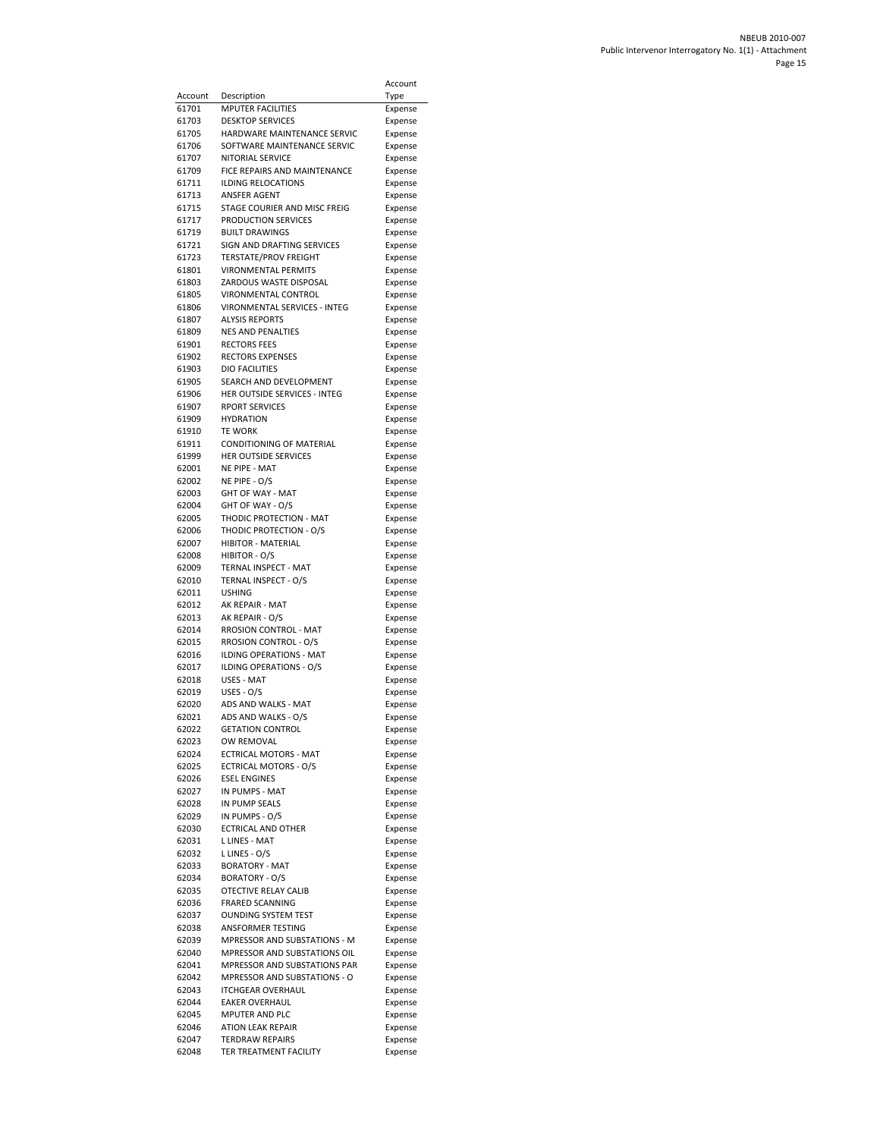| Account        | Description                                        | Account<br>Type    |
|----------------|----------------------------------------------------|--------------------|
| 61701          | <b>MPUTER FACILITIES</b>                           | Expense            |
| 61703          | <b>DESKTOP SERVICES</b>                            | Expense            |
| 61705          | HARDWARE MAINTENANCE SERVIC                        | Expense            |
| 61706          | SOFTWARE MAINTENANCE SERVIC                        | Expense            |
| 61707          | <b>NITORIAL SERVICE</b>                            | Expense            |
| 61709          | FICE REPAIRS AND MAINTENANCE                       | Expense            |
| 61711          | ILDING RELOCATIONS                                 | Expense            |
| 61713          | ANSFER AGENT                                       | Expense            |
| 61715          | STAGE COURIER AND MISC FREIG                       | Expense            |
| 61717<br>61719 | PRODUCTION SERVICES<br><b>BUILT DRAWINGS</b>       | Expense            |
| 61721          | SIGN AND DRAFTING SERVICES                         | Expense<br>Expense |
| 61723          | <b>TERSTATE/PROV FREIGHT</b>                       | Expense            |
| 61801          | <b>VIRONMENTAL PERMITS</b>                         | Expense            |
| 61803          | ZARDOUS WASTE DISPOSAL                             | Expense            |
| 61805          | VIRONMENTAL CONTROL                                | Expense            |
| 61806          | VIRONMENTAL SERVICES - INTEG                       | Expense            |
| 61807          | <b>ALYSIS REPORTS</b>                              | Expense            |
| 61809          | <b>NES AND PENALTIES</b>                           | Expense            |
| 61901<br>61902 | <b>RECTORS FEES</b><br><b>RECTORS EXPENSES</b>     | Expense            |
| 61903          | <b>DIO FACILITIES</b>                              | Expense<br>Expense |
| 61905          | SEARCH AND DEVELOPMENT                             | Expense            |
| 61906          | HER OUTSIDE SERVICES - INTEG                       | Expense            |
| 61907          | <b>RPORT SERVICES</b>                              | Expense            |
| 61909          | HYDRATION                                          | Expense            |
| 61910          | <b>TE WORK</b>                                     | Expense            |
| 61911          | CONDITIONING OF MATERIAL                           | Expense            |
| 61999          | <b>HER OUTSIDE SERVICES</b>                        | Expense            |
| 62001          | NE PIPE - MAT                                      | Expense            |
| 62002          | NE PIPE - O/S<br>GHT OF WAY - MAT                  | Expense            |
| 62003<br>62004 | GHT OF WAY - O/S                                   | Expense<br>Expense |
| 62005          | THODIC PROTECTION - MAT                            | Expense            |
| 62006          | THODIC PROTECTION - O/S                            | Expense            |
| 62007          | <b>HIBITOR - MATERIAL</b>                          | Expense            |
| 62008          | HIBITOR - O/S                                      | Expense            |
| 62009          | TERNAL INSPECT - MAT                               | Expense            |
| 62010          | TERNAL INSPECT - O/S                               | Expense            |
| 62011          | USHING                                             | Expense            |
| 62012          | AK REPAIR - MAT                                    | Expense            |
| 62013<br>62014 | AK REPAIR - O/S<br>RROSION CONTROL - MAT           | Expense<br>Expense |
| 62015          | RROSION CONTROL - O/S                              | Expense            |
| 62016          | <b>ILDING OPERATIONS - MAT</b>                     | Expense            |
| 62017          | ILDING OPERATIONS - O/S                            | Expense            |
| 62018          | USES - MAT                                         | Expense            |
| 62019          | USES - O/S                                         | Expense            |
| 62020          | ADS AND WALKS - MAT                                | Expense            |
| 62021          | ADS AND WALKS - O/S                                | Expense            |
| 62022          | <b>GETATION CONTROL</b>                            | Expense            |
| 62023<br>62024 | OW REMOVAL<br><b>ECTRICAL MOTORS - MAT</b>         | Expense<br>Expense |
| 62025          | <b>ECTRICAL MOTORS - O/S</b>                       | Expense            |
| 62026          | <b>ESEL ENGINES</b>                                | Expense            |
| 62027          | IN PUMPS - MAT                                     | Expense            |
| 62028          | IN PUMP SEALS                                      | Expense            |
| 62029          | IN PUMPS - O/S                                     | Expense            |
| 62030          | <b>ECTRICAL AND OTHER</b>                          | Expense            |
| 62031          | <b>LLINES - MAT</b>                                | Expense            |
| 62032          | L LINES - O/S                                      | Expense            |
| 62033          | <b>BORATORY - MAT</b>                              | Expense            |
| 62034<br>62035 | <b>BORATORY - O/S</b><br>OTECTIVE RELAY CALIB      | Expense            |
| 62036          | <b>FRARED SCANNING</b>                             | Expense<br>Expense |
| 62037          | <b>OUNDING SYSTEM TEST</b>                         | Expense            |
| 62038          | ANSFORMER TESTING                                  | Expense            |
| 62039          | MPRESSOR AND SUBSTATIONS - M                       | Expense            |
| 62040          | MPRESSOR AND SUBSTATIONS OIL                       | Expense            |
| 62041          | MPRESSOR AND SUBSTATIONS PAR                       | Expense            |
| 62042          | MPRESSOR AND SUBSTATIONS - O                       | Expense            |
| 62043          | <b>ITCHGEAR OVERHAUL</b>                           | Expense            |
| 62044          | <b>EAKER OVERHAUL</b>                              | Expense            |
| 62045          | MPUTER AND PLC                                     | Expense            |
| 62046<br>62047 | <b>ATION LEAK REPAIR</b><br><b>TERDRAW REPAIRS</b> | Expense<br>Expense |
| 62048          | TER TREATMENT FACILITY                             | Expense            |
|                |                                                    |                    |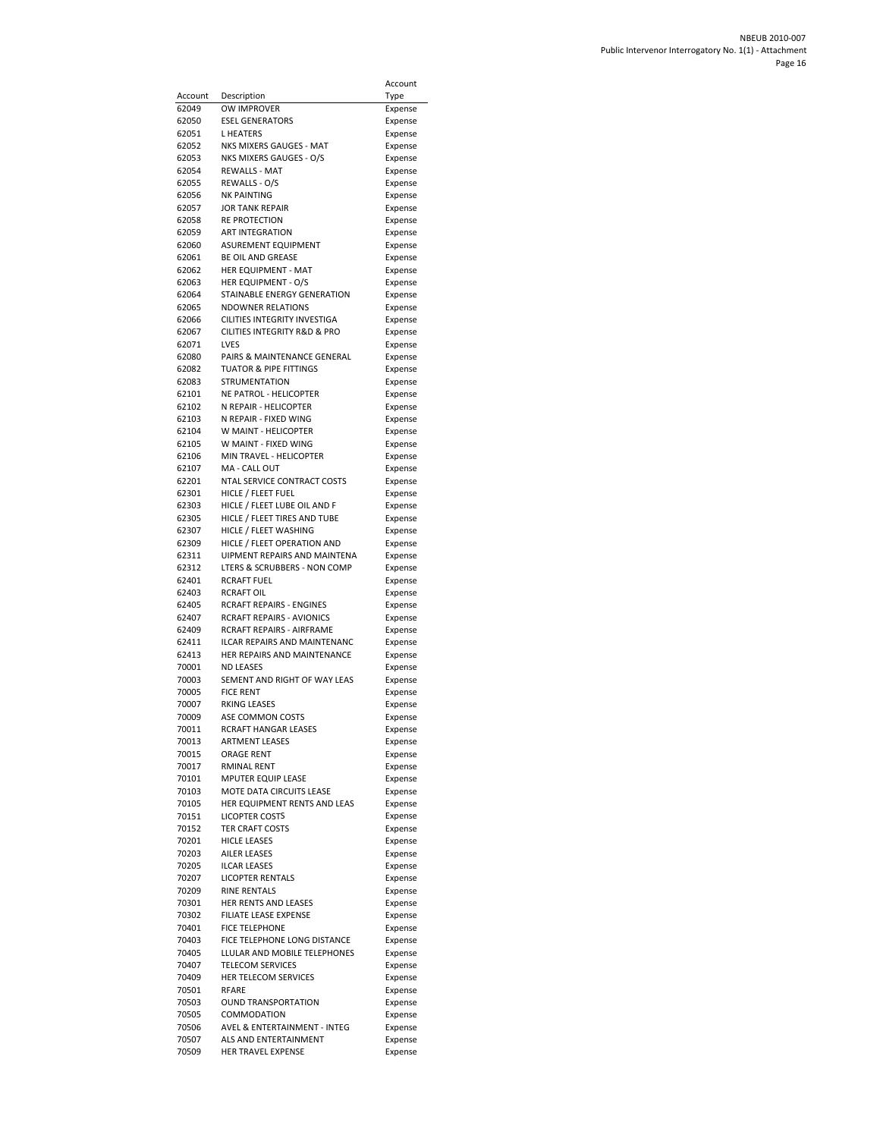| Account        | Description                                                      | Account<br>Type    |
|----------------|------------------------------------------------------------------|--------------------|
| 62049          | OW IMPROVER                                                      | Expense            |
| 62050          | <b>ESEL GENERATORS</b>                                           | Expense            |
| 62051          | L HEATERS                                                        | Expense            |
| 62052          | NKS MIXERS GAUGES - MAT                                          | Expense            |
| 62053          | NKS MIXERS GAUGES - O/S                                          | Expense            |
| 62054<br>62055 | REWALLS - MAT<br>REWALLS - O/S                                   | Expense            |
| 62056          | NK PAINTING                                                      | Expense<br>Expense |
| 62057          | <b>JOR TANK REPAIR</b>                                           | Expense            |
| 62058          | RE PROTECTION                                                    | Expense            |
| 62059          | <b>ART INTEGRATION</b>                                           | Expense            |
| 62060          | ASUREMENT EQUIPMENT                                              | Expense            |
| 62061<br>62062 | BE OIL AND GREASE<br>HER EQUIPMENT - MAT                         | Expense            |
| 62063          | HER EQUIPMENT - O/S                                              | Expense<br>Expense |
| 62064          | STAINABLE ENERGY GENERATION                                      | Expense            |
| 62065          | <b>NDOWNER RELATIONS</b>                                         | Expense            |
| 62066          | CILITIES INTEGRITY INVESTIGA                                     | Expense            |
| 62067          | CILITIES INTEGRITY R&D & PRO                                     | Expense            |
| 62071<br>62080 | LVES                                                             | Expense            |
| 62082          | PAIRS & MAINTENANCE GENERAL<br><b>TUATOR &amp; PIPE FITTINGS</b> | Expense<br>Expense |
| 62083          | <b>STRUMENTATION</b>                                             | Expense            |
| 62101          | NE PATROL - HELICOPTER                                           | Expense            |
| 62102          | N REPAIR - HELICOPTER                                            | Expense            |
| 62103          | N REPAIR - FIXED WING                                            | Expense            |
| 62104          | W MAINT - HELICOPTER                                             | Expense            |
| 62105          | W MAINT - FIXED WING                                             | Expense            |
| 62106<br>62107 | MIN TRAVEL - HELICOPTER<br>MA - CALL OUT                         | Expense<br>Expense |
| 62201          | NTAL SERVICE CONTRACT COSTS                                      | Expense            |
| 62301          | HICLE / FLEET FUEL                                               | Expense            |
| 62303          | HICLE / FLEET LUBE OIL AND F                                     | Expense            |
| 62305          | HICLE / FLEET TIRES AND TUBE                                     | Expense            |
| 62307          | HICLE / FLEET WASHING                                            | Expense            |
| 62309          | HICLE / FLEET OPERATION AND                                      | Expense            |
| 62311<br>62312 | UIPMENT REPAIRS AND MAINTENA<br>LTERS & SCRUBBERS - NON COMP     | Expense<br>Expense |
| 62401          | RCRAFT FUEL                                                      | Expense            |
| 62403          | RCRAFT OIL                                                       | Expense            |
| 62405          | RCRAFT REPAIRS - ENGINES                                         | Expense            |
| 62407          | RCRAFT REPAIRS - AVIONICS                                        | Expense            |
| 62409          | <b>RCRAFT REPAIRS - AIRFRAME</b>                                 | Expense            |
| 62411<br>62413 | ILCAR REPAIRS AND MAINTENANC<br>HER REPAIRS AND MAINTENANCE      | Expense<br>Expense |
| 70001          | <b>ND LEASES</b>                                                 | Expense            |
| 70003          | SEMENT AND RIGHT OF WAY LEAS                                     | Expense            |
| 70005          | <b>FICE RENT</b>                                                 | Expense            |
| 70007          | RKING LEASES                                                     | Expense            |
| 70009          | ASE COMMON COSTS                                                 | Expense            |
| 70011<br>70013 | <b>RCRAFT HANGAR LEASES</b><br><b>ARTMENT LEASES</b>             | Expense            |
| 70015          | <b>ORAGE RENT</b>                                                | Expense<br>Expense |
| 70017          | <b>RMINAL RENT</b>                                               | Expense            |
| 70101          | MPUTER EQUIP LEASE                                               | Expense            |
| 70103          | MOTE DATA CIRCUITS LEASE                                         | Expense            |
| 70105          | HER EQUIPMENT RENTS AND LEAS                                     | Expense            |
| 70151          | <b>LICOPTER COSTS</b>                                            | Expense            |
| 70152<br>70201 | TER CRAFT COSTS<br><b>HICLE LEASES</b>                           | Expense<br>Expense |
| 70203          | <b>AILER LEASES</b>                                              | Expense            |
| 70205          | <b>ILCAR LEASES</b>                                              | Expense            |
| 70207          | <b>LICOPTER RENTALS</b>                                          | Expense            |
| 70209          | <b>RINE RENTALS</b>                                              | Expense            |
| 70301          | HER RENTS AND LEASES                                             | Expense            |
| 70302<br>70401 | FILIATE LEASE EXPENSE                                            | Expense            |
| 70403          | <b>FICE TELEPHONE</b><br>FICE TELEPHONE LONG DISTANCE            | Expense<br>Expense |
| 70405          | LLULAR AND MOBILE TELEPHONES                                     | Expense            |
| 70407          | <b>TELECOM SERVICES</b>                                          | Expense            |
| 70409          | HER TELECOM SERVICES                                             | Expense            |
| 70501          | RFARE                                                            | Expense            |
| 70503          | <b>OUND TRANSPORTATION</b>                                       | Expense            |
| 70505<br>70506 | COMMODATION<br>AVEL & ENTERTAINMENT - INTEG                      | Expense<br>Expense |
| 70507          | ALS AND ENTERTAINMENT                                            | Expense            |
| 70509          | HER TRAVEL EXPENSE                                               | Expense            |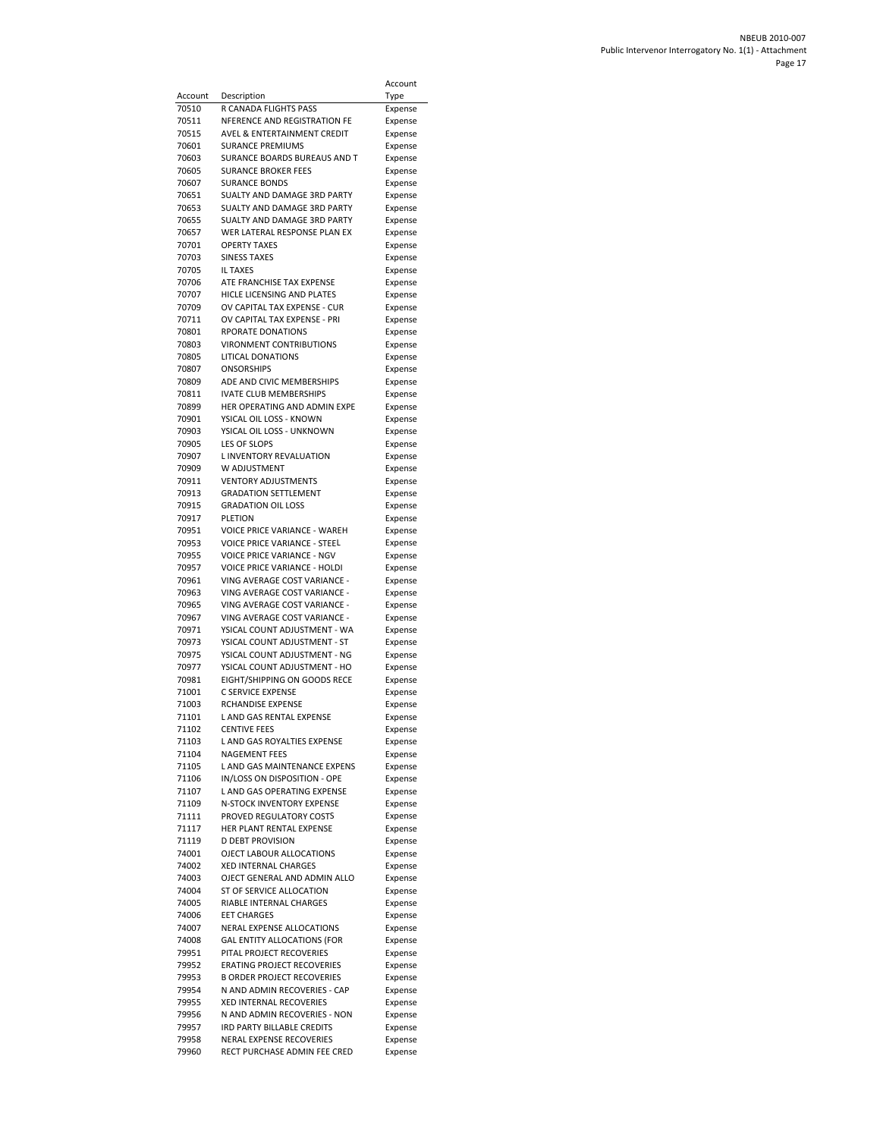|                |                                                                   | Account            |
|----------------|-------------------------------------------------------------------|--------------------|
| Account        | Description                                                       | Type               |
| 70510          | R CANADA FLIGHTS PASS                                             | Expense            |
| 70511          | NFERENCE AND REGISTRATION FE                                      | Expense            |
| 70515          | AVEL & ENTERTAINMENT CREDIT                                       | Expense            |
| 70601          | <b>SURANCE PREMIUMS</b>                                           | Expense            |
| 70603          | SURANCE BOARDS BUREAUS AND T                                      | Expense            |
| 70605<br>70607 | <b>SURANCE BROKER FEES</b><br><b>SURANCE BONDS</b>                | Expense<br>Expense |
| 70651          | SUALTY AND DAMAGE 3RD PARTY                                       | Expense            |
| 70653          | SUALTY AND DAMAGE 3RD PARTY                                       | Expense            |
| 70655          | <b>SUALTY AND DAMAGE 3RD PARTY</b>                                | Expense            |
| 70657          | WER LATERAL RESPONSE PLAN EX                                      | Expense            |
| 70701          | OPERTY TAXES                                                      | Expense            |
| 70703          | <b>SINESS TAXES</b>                                               | Expense            |
| 70705<br>70706 | <b>IL TAXES</b><br>ATE FRANCHISE TAX EXPENSE                      | Expense            |
| 70707          | HICLE LICENSING AND PLATES                                        | Expense<br>Expense |
| 70709          | OV CAPITAL TAX EXPENSE - CUR                                      | Expense            |
| 70711          | OV CAPITAL TAX EXPENSE - PRI                                      | Expense            |
| 70801          | RPORATE DONATIONS                                                 | Expense            |
| 70803          | <b>VIRONMENT CONTRIBUTIONS</b>                                    | Expense            |
| 70805          | LITICAL DONATIONS                                                 | Expense            |
| 70807<br>70809 | <b>ONSORSHIPS</b>                                                 | Expense            |
| 70811          | ADE AND CIVIC MEMBERSHIPS<br>IVATE CLUB MEMBERSHIPS               | Expense<br>Expense |
| 70899          | HER OPERATING AND ADMIN EXPE                                      | Expense            |
| 70901          | YSICAL OIL LOSS - KNOWN                                           | Expense            |
| 70903          | YSICAL OIL LOSS - UNKNOWN                                         | Expense            |
| 70905          | LES OF SLOPS                                                      | Expense            |
| 70907          | L INVENTORY REVALUATION                                           | Expense            |
| 70909          | W ADJUSTMENT                                                      | Expense            |
| 70911          | <b>VENTORY ADJUSTMENTS</b>                                        | Expense            |
| 70913<br>70915 | <b>GRADATION SETTLEMENT</b><br><b>GRADATION OIL LOSS</b>          | Expense<br>Expense |
| 70917          | PLETION                                                           | Expense            |
| 70951          | VOICE PRICE VARIANCE - WAREH                                      | Expense            |
| 70953          | <b>VOICE PRICE VARIANCE - STEEL</b>                               | Expense            |
| 70955          | <b>VOICE PRICE VARIANCE - NGV</b>                                 | Expense            |
| 70957          | <b>VOICE PRICE VARIANCE - HOLDI</b>                               | Expense            |
| 70961          | VING AVERAGE COST VARIANCE -                                      | Expense            |
| 70963<br>70965 | VING AVERAGE COST VARIANCE -<br>VING AVERAGE COST VARIANCE -      | Expense<br>Expense |
| 70967          | VING AVERAGE COST VARIANCE -                                      | Expense            |
| 70971          | YSICAL COUNT ADJUSTMENT - WA                                      | Expense            |
| 70973          | YSICAL COUNT ADJUSTMENT - ST                                      | Expense            |
| 70975          | YSICAL COUNT ADJUSTMENT - NG                                      | Expense            |
| 70977          | YSICAL COUNT ADJUSTMENT - HO                                      | Expense            |
| 70981          | EIGHT/SHIPPING ON GOODS RECE<br>C SERVICE EXPENSE                 | Expense            |
| 71001<br>71003 | RCHANDISE EXPENSE                                                 | Expense<br>Expense |
| 71101          | L AND GAS RENTAL EXPENSE                                          | Expense            |
| 71102          | <b>CENTIVE FEES</b>                                               | Expense            |
| 71103          | L AND GAS ROYALTIES EXPENSE                                       | Expense            |
| 71104          | NAGEMENT FEES                                                     | Expense            |
| 71105          | L AND GAS MAINTENANCE EXPENS                                      | Expense            |
| 71106          | IN/LOSS ON DISPOSITION - OPE                                      | Expense            |
| 71107<br>71109 | L AND GAS OPERATING EXPENSE<br>N-STOCK INVENTORY EXPENSE          | Expense<br>Expense |
| 71111          | PROVED REGULATORY COSTS                                           | Expense            |
| 71117          | HER PLANT RENTAL EXPENSE                                          | Expense            |
| 71119          | <b>D DEBT PROVISION</b>                                           | Expense            |
| 74001          | OJECT LABOUR ALLOCATIONS                                          | Expense            |
| 74002          | <b>XED INTERNAL CHARGES</b>                                       | Expense            |
| 74003          | OJECT GENERAL AND ADMIN ALLO                                      | Expense            |
| 74004<br>74005 | ST OF SERVICE ALLOCATION<br>RIABLE INTERNAL CHARGES               | Expense<br>Expense |
| 74006          | <b>EET CHARGES</b>                                                | Expense            |
| 74007          | NERAL EXPENSE ALLOCATIONS                                         | Expense            |
| 74008          | <b>GAL ENTITY ALLOCATIONS (FOR</b>                                | Expense            |
| 79951          | PITAL PROJECT RECOVERIES                                          | Expense            |
| 79952          | <b>ERATING PROJECT RECOVERIES</b>                                 | Expense            |
| 79953<br>79954 | <b>B ORDER PROJECT RECOVERIES</b><br>N AND ADMIN RECOVERIES - CAP | Expense            |
| 79955          | <b>XED INTERNAL RECOVERIES</b>                                    | Expense<br>Expense |
| 79956          | N AND ADMIN RECOVERIES - NON                                      | Expense            |
| 79957          | IRD PARTY BILLABLE CREDITS                                        | Expense            |
| 79958          | NERAL EXPENSE RECOVERIES                                          | Expense            |
| 79960          | RECT PURCHASE ADMIN FEE CRED                                      | Expense            |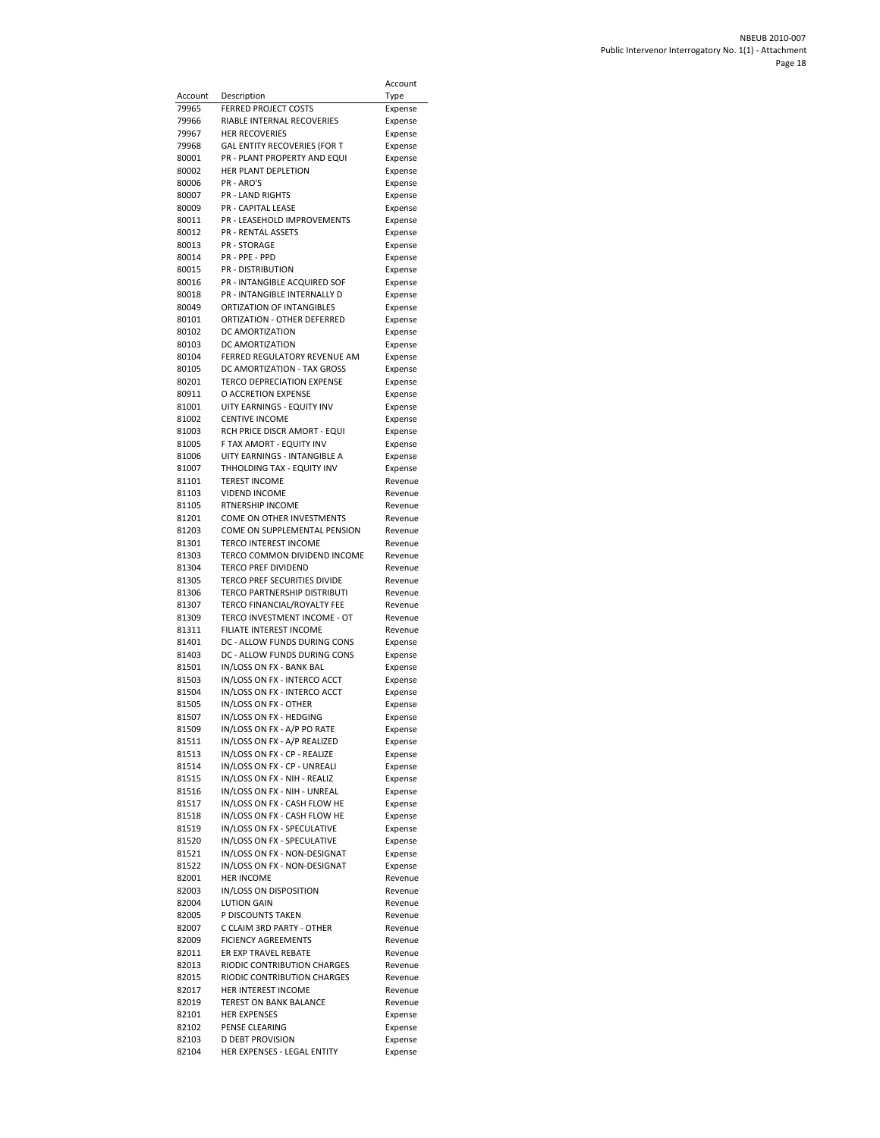|         |                                   | Account |
|---------|-----------------------------------|---------|
| Account | Description                       | Type    |
| 79965   | <b>FERRED PROJECT COSTS</b>       | Expense |
| 79966   | RIABLE INTERNAL RECOVERIES        | Expense |
| 79967   | <b>HER RECOVERIES</b>             | Expense |
| 79968   | GAL ENTITY RECOVERIES (FOR T      | Expense |
| 80001   | PR - PLANT PROPERTY AND EQUI      | Expense |
| 80002   | HER PLANT DEPLETION               | Expense |
| 80006   | PR - ARO'S                        | Expense |
| 80007   | PR - LAND RIGHTS                  | Expense |
| 80009   | PR - CAPITAL LEASE                | Expense |
| 80011   | PR - LEASEHOLD IMPROVEMENTS       | Expense |
| 80012   | <b>PR - RENTAL ASSETS</b>         | Expense |
| 80013   | <b>PR - STORAGE</b>               | Expense |
| 80014   | PR - PPE - PPD                    | Expense |
| 80015   | <b>PR - DISTRIBUTION</b>          | Expense |
| 80016   | PR - INTANGIBLE ACQUIRED SOF      | Expense |
| 80018   | PR - INTANGIBLE INTERNALLY D      | Expense |
| 80049   | ORTIZATION OF INTANGIBLES         |         |
|         | ORTIZATION - OTHER DEFERRED       | Expense |
| 80101   |                                   | Expense |
| 80102   | DC AMORTIZATION                   | Expense |
| 80103   | DC AMORTIZATION                   | Expense |
| 80104   | FERRED REGULATORY REVENUE AM      | Expense |
| 80105   | DC AMORTIZATION - TAX GROSS       | Expense |
| 80201   | <b>TERCO DEPRECIATION EXPENSE</b> | Expense |
| 80911   | O ACCRETION EXPENSE               | Expense |
| 81001   | UITY EARNINGS - EQUITY INV        | Expense |
| 81002   | <b>CENTIVE INCOME</b>             | Expense |
| 81003   | RCH PRICE DISCR AMORT - EQUI      | Expense |
| 81005   | F TAX AMORT - EQUITY INV          | Expense |
| 81006   | UITY EARNINGS - INTANGIBLE A      | Expense |
| 81007   | THHOLDING TAX - EQUITY INV        | Expense |
| 81101   | <b>TEREST INCOME</b>              | Revenue |
| 81103   | <b>VIDEND INCOME</b>              | Revenue |
| 81105   | RTNERSHIP INCOME                  | Revenue |
| 81201   | COME ON OTHER INVESTMENTS         | Revenue |
|         |                                   |         |
| 81203   | COME ON SUPPLEMENTAL PENSION      | Revenue |
| 81301   | TERCO INTEREST INCOME             | Revenue |
| 81303   | TERCO COMMON DIVIDEND INCOME      | Revenue |
| 81304   | <b>TERCO PREF DIVIDEND</b>        | Revenue |
| 81305   | TERCO PREF SECURITIES DIVIDE      | Revenue |
| 81306   | TERCO PARTNERSHIP DISTRIBUTI      | Revenue |
| 81307   | TERCO FINANCIAL/ROYALTY FEE       | Revenue |
| 81309   | TERCO INVESTMENT INCOME - OT      | Revenue |
| 81311   | FILIATE INTEREST INCOME           | Revenue |
| 81401   | DC - ALLOW FUNDS DURING CONS      | Expense |
| 81403   | DC - ALLOW FUNDS DURING CONS      | Expense |
| 81501   | IN/LOSS ON FX - BANK BAL          | Expense |
| 81503   | IN/LOSS ON FX - INTERCO ACCT      | Expense |
| 81504   | IN/LOSS ON FX - INTERCO ACCT      | Expense |
| 81505   | IN/LOSS ON FX - OTHER             | Expense |
| 81507   | IN/LOSS ON FX - HEDGING           | Expense |
| 81509   | IN/LOSS ON FX - A/P PO RATE       | Expense |
| 81511   | IN/LOSS ON FX - A/P REALIZED      | Expense |
| 81513   | IN/LOSS ON FX - CP - REALIZE      | Expense |
| 81514   | IN/LOSS ON FX - CP - UNREALI      | Expense |
|         | IN/LOSS ON FX - NIH - REALIZ      |         |
| 81515   |                                   | Expense |
| 81516   | IN/LOSS ON FX - NIH - UNREAL      | Expense |
| 81517   | IN/LOSS ON FX - CASH FLOW HE      | Expense |
| 81518   | IN/LOSS ON FX - CASH FLOW HE      | Expense |
| 81519   | IN/LOSS ON FX - SPECULATIVE       | Expense |
| 81520   | IN/LOSS ON FX - SPECULATIVE       | Expense |
| 81521   | IN/LOSS ON FX - NON-DESIGNAT      | Expense |
| 81522   | IN/LOSS ON FX - NON-DESIGNAT      | Expense |
| 82001   | <b>HER INCOME</b>                 | Revenue |
| 82003   | IN/LOSS ON DISPOSITION            | Revenue |
| 82004   | <b>LUTION GAIN</b>                | Revenue |
| 82005   | P DISCOUNTS TAKEN                 | Revenue |
| 82007   | C CLAIM 3RD PARTY - OTHER         | Revenue |
| 82009   | <b>FICIENCY AGREEMENTS</b>        | Revenue |
| 82011   | ER EXP TRAVEL REBATE              | Revenue |
| 82013   | RIODIC CONTRIBUTION CHARGES       | Revenue |
| 82015   | RIODIC CONTRIBUTION CHARGES       | Revenue |
| 82017   | HER INTEREST INCOME               | Revenue |
|         | <b>TEREST ON BANK BALANCE</b>     |         |
| 82019   |                                   | Revenue |
| 82101   | <b>HER EXPENSES</b>               | Expense |
| 82102   | PENSE CLEARING                    | Expense |
| 82103   | <b>D DEBT PROVISION</b>           | Expense |
| 82104   | HER EXPENSES - LEGAL ENTITY       | Expense |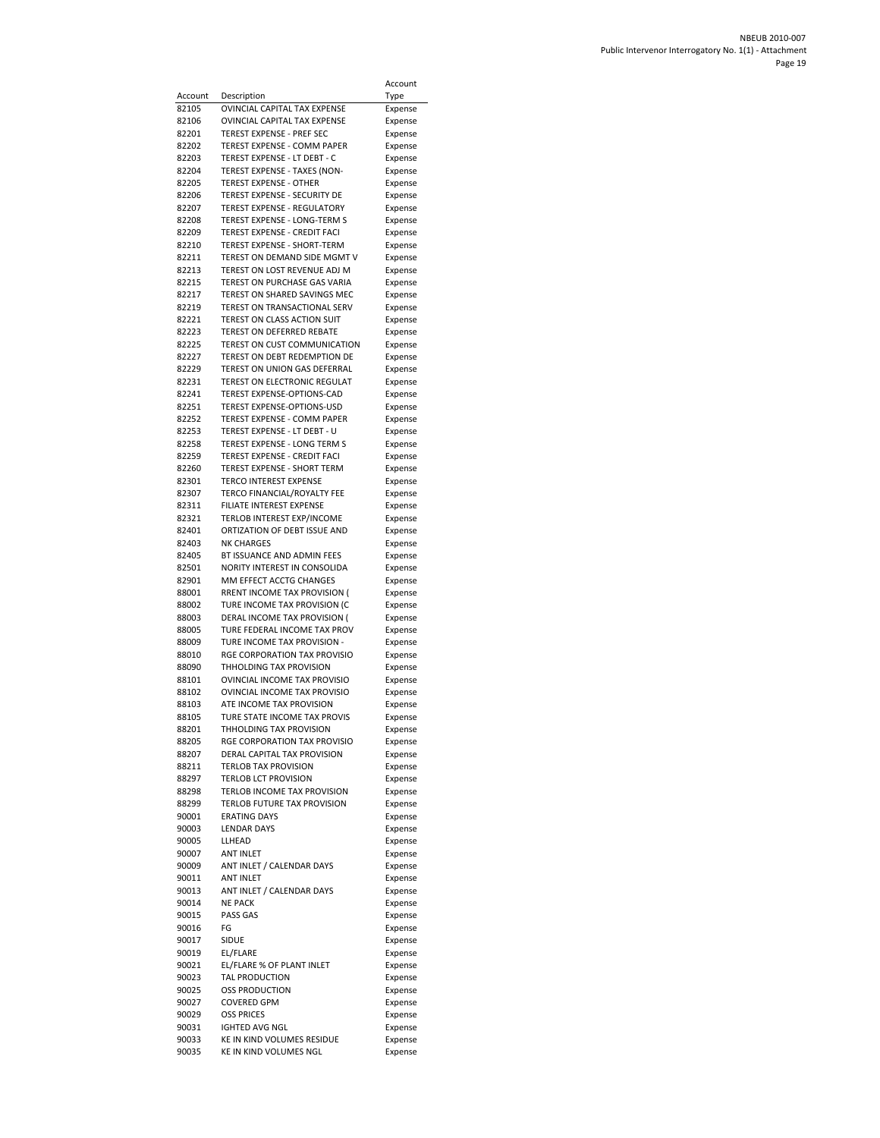|                  |                                                               | Account            |
|------------------|---------------------------------------------------------------|--------------------|
| Account<br>82105 | Description<br>OVINCIAL CAPITAL TAX EXPENSE                   | Type<br>Expense    |
| 82106            | <b>OVINCIAL CAPITAL TAX EXPENSE</b>                           | Expense            |
| 82201            | <b>TEREST EXPENSE - PREF SEC</b>                              | Expense            |
| 82202            | TEREST EXPENSE - COMM PAPER                                   | Expense            |
| 82203            | TEREST EXPENSE - LT DEBT - C                                  | Expense            |
| 82204<br>82205   | TEREST EXPENSE - TAXES (NON-<br><b>TEREST EXPENSE - OTHER</b> | Expense<br>Expense |
| 82206            | TEREST EXPENSE - SECURITY DE                                  | Expense            |
| 82207            | <b>TEREST EXPENSE - REGULATORY</b>                            | Expense            |
| 82208            | <b>TEREST EXPENSE - LONG-TERM S</b>                           | Expense            |
| 82209            | TEREST EXPENSE - CREDIT FACI                                  | Expense            |
| 82210<br>82211   | TEREST EXPENSE - SHORT-TERM<br>TEREST ON DEMAND SIDE MGMT V   | Expense<br>Expense |
| 82213            | TEREST ON LOST REVENUE ADJ M                                  | Expense            |
| 82215            | TEREST ON PURCHASE GAS VARIA                                  | Expense            |
| 82217            | TEREST ON SHARED SAVINGS MEC                                  | Expense            |
| 82219<br>82221   | TEREST ON TRANSACTIONAL SERV<br>TEREST ON CLASS ACTION SUIT   | Expense            |
| 82223            | TEREST ON DEFERRED REBATE                                     | Expense<br>Expense |
| 82225            | TEREST ON CUST COMMUNICATION                                  | Expense            |
| 82227            | TEREST ON DEBT REDEMPTION DE                                  | Expense            |
| 82229            | TEREST ON UNION GAS DEFERRAL                                  | Expense            |
| 82231<br>82241   | TEREST ON ELECTRONIC REGULAT<br>TEREST EXPENSE-OPTIONS-CAD    | Expense<br>Expense |
| 82251            | TEREST EXPENSE-OPTIONS-USD                                    | Expense            |
| 82252            | <b>TEREST EXPENSE - COMM PAPER</b>                            | Expense            |
| 82253            | TEREST EXPENSE - LT DEBT - U                                  | Expense            |
| 82258            | <b>TEREST EXPENSE - LONG TERM S</b>                           | Expense            |
| 82259<br>82260   | TEREST EXPENSE - CREDIT FACI<br>TEREST EXPENSE - SHORT TERM   | Expense<br>Expense |
| 82301            | <b>TERCO INTEREST EXPENSE</b>                                 | Expense            |
| 82307            | TERCO FINANCIAL/ROYALTY FEE                                   | Expense            |
| 82311            | FILIATE INTEREST EXPENSE                                      | Expense            |
| 82321<br>82401   | TERLOB INTEREST EXP/INCOME<br>ORTIZATION OF DEBT ISSUE AND    | Expense            |
| 82403            | <b>NK CHARGES</b>                                             | Expense<br>Expense |
| 82405            | BT ISSUANCE AND ADMIN FEES                                    | Expense            |
| 82501            | NORITY INTEREST IN CONSOLIDA                                  | Expense            |
| 82901            | MM EFFECT ACCTG CHANGES                                       | Expense            |
| 88001<br>88002   | RRENT INCOME TAX PROVISION (<br>TURE INCOME TAX PROVISION (C  | Expense<br>Expense |
| 88003            | DERAL INCOME TAX PROVISION (                                  | Expense            |
| 88005            | TURE FEDERAL INCOME TAX PROV                                  | Expense            |
| 88009            | TURE INCOME TAX PROVISION -                                   | Expense            |
| 88010<br>88090   | RGE CORPORATION TAX PROVISIO<br>THHOLDING TAX PROVISION       | Expense<br>Expense |
| 88101            | OVINCIAL INCOME TAX PROVISIO                                  | Expense            |
| 88102            | OVINCIAL INCOME TAX PROVISIO                                  | Expense            |
| 88103            | ATE INCOME TAX PROVISION                                      | Expense            |
| 88105<br>88201   | TURE STATE INCOME TAX PROVIS<br>THHOLDING TAX PROVISION       | Expense            |
| 88205            | RGE CORPORATION TAX PROVISIO                                  | Expense<br>Expense |
| 88207            | DERAL CAPITAL TAX PROVISION                                   | Expense            |
| 88211            | <b>TERLOB TAX PROVISION</b>                                   | Expense            |
| 88297            | <b>TERLOB LCT PROVISION</b>                                   | Expense            |
| 88298<br>88299   | TERLOB INCOME TAX PROVISION<br>TERLOB FUTURE TAX PROVISION    | Expense<br>Expense |
| 90001            | <b>ERATING DAYS</b>                                           | Expense            |
| 90003            | <b>LENDAR DAYS</b>                                            | Expense            |
| 90005            | LLHEAD                                                        | Expense            |
| 90007<br>90009   | <b>ANT INLET</b><br>ANT INLET / CALENDAR DAYS                 | Expense<br>Expense |
| 90011            | <b>ANT INLET</b>                                              | Expense            |
| 90013            | ANT INLET / CALENDAR DAYS                                     | Expense            |
| 90014            | <b>NE PACK</b>                                                | Expense            |
| 90015            | PASS GAS                                                      | Expense            |
| 90016<br>90017   | FG<br>SIDUE                                                   | Expense<br>Expense |
| 90019            | EL/FLARE                                                      | Expense            |
| 90021            | EL/FLARE % OF PLANT INLET                                     | Expense            |
| 90023            | TAL PRODUCTION                                                | Expense            |
| 90025<br>90027   | <b>OSS PRODUCTION</b><br><b>COVERED GPM</b>                   | Expense<br>Expense |
| 90029            | <b>OSS PRICES</b>                                             | Expense            |
| 90031            | <b>IGHTED AVG NGL</b>                                         | Expense            |
| 90033            | KE IN KIND VOLUMES RESIDUE                                    | Expense            |
| 90035            | KE IN KIND VOLUMES NGL                                        | Expense            |